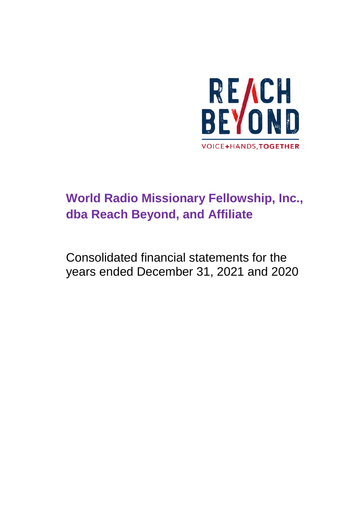

# **World Radio Missionary Fellowship, Inc., dba Reach Beyond, and Affiliate**

Consolidated financial statements for the years ended December 31, 2021 and 2020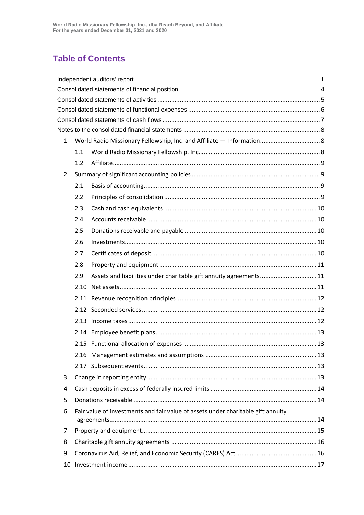## **Table of Contents**

| $\mathbf{1}$   |     |                                                                                  |  |
|----------------|-----|----------------------------------------------------------------------------------|--|
|                | 1.1 |                                                                                  |  |
|                | 1.2 |                                                                                  |  |
| $\overline{2}$ |     |                                                                                  |  |
|                | 2.1 |                                                                                  |  |
|                | 2.2 |                                                                                  |  |
|                | 2.3 |                                                                                  |  |
|                | 2.4 |                                                                                  |  |
|                | 2.5 |                                                                                  |  |
|                | 2.6 |                                                                                  |  |
|                | 2.7 |                                                                                  |  |
|                | 2.8 |                                                                                  |  |
|                | 2.9 | Assets and liabilities under charitable gift annuity agreements 11               |  |
|                |     |                                                                                  |  |
|                |     |                                                                                  |  |
|                |     |                                                                                  |  |
|                |     |                                                                                  |  |
|                |     |                                                                                  |  |
|                |     |                                                                                  |  |
|                |     |                                                                                  |  |
|                |     |                                                                                  |  |
| 3              |     |                                                                                  |  |
| 4              |     |                                                                                  |  |
| 5              |     |                                                                                  |  |
| 6              |     | Fair value of investments and fair value of assets under charitable gift annuity |  |
|                |     |                                                                                  |  |
| 7              |     |                                                                                  |  |
| 8              |     |                                                                                  |  |
| 9              |     |                                                                                  |  |
|                |     |                                                                                  |  |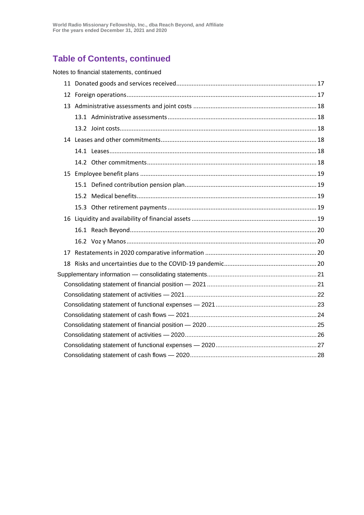## **Table of Contents, continued**

### Notes to financial statements, continued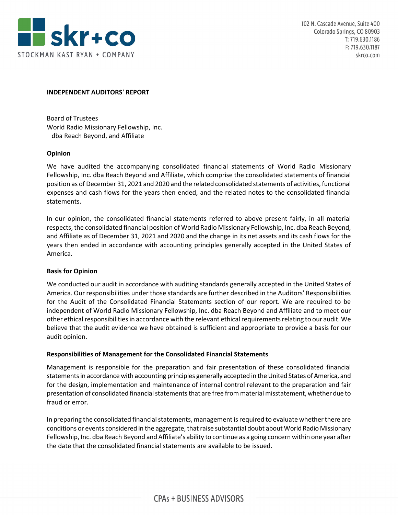

#### **INDEPENDENT AUDITORS' REPORT**

Board of Trustees World Radio Missionary Fellowship, Inc. dba Reach Beyond, and Affiliate

### **Opinion**

We have audited the accompanying consolidated financial statements of World Radio Missionary Fellowship, Inc. dba Reach Beyond and Affiliate, which comprise the consolidated statements of financial position as of December 31, 2021 and 2020 and the related consolidated statements of activities, functional expenses and cash flows for the years then ended, and the related notes to the consolidated financial statements.

In our opinion, the consolidated financial statements referred to above present fairly, in all material respects, the consolidated financial position of World Radio Missionary Fellowship, Inc. dba Reach Beyond, and Affiliate as of December 31, 2021 and 2020 and the change in its net assets and its cash flows for the years then ended in accordance with accounting principles generally accepted in the United States of America.

## **Basis for Opinion**

We conducted our audit in accordance with auditing standards generally accepted in the United States of America. Our responsibilities under those standards are further described in the Auditors' Responsibilities for the Audit of the Consolidated Financial Statements section of our report. We are required to be independent of World Radio Missionary Fellowship, Inc. dba Reach Beyond and Affiliate and to meet our other ethical responsibilitiesin accordance with the relevant ethicalrequirementsrelating to our audit. We believe that the audit evidence we have obtained is sufficient and appropriate to provide a basis for our audit opinion.

## **Responsibilities of Management for the Consolidated Financial Statements**

Management is responsible for the preparation and fair presentation of these consolidated financial statements in accordance with accounting principles generally accepted in the United States of America, and for the design, implementation and maintenance of internal control relevant to the preparation and fair presentation of consolidated financial statements that are free from material misstatement, whether due to fraud or error.

In preparing the consolidated financial statements, management is required to evaluate whether there are conditions or events considered in the aggregate, that raise substantial doubt about World Radio Missionary Fellowship, Inc. dba Reach Beyond and Affiliate's ability to continue as a going concern within one year after the date that the consolidated financial statements are available to be issued.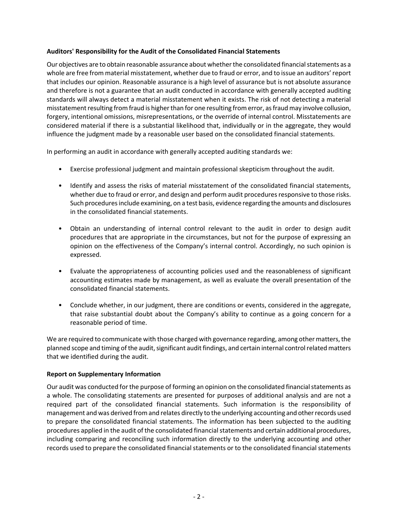## **Auditors' Responsibility for the Audit of the Consolidated Financial Statements**

Our objectives are to obtain reasonable assurance about whether the consolidated financial statements as a whole are free from material misstatement, whether due to fraud or error, and to issue an auditors' report that includes our opinion. Reasonable assurance is a high level of assurance but is not absolute assurance and therefore is not a guarantee that an audit conducted in accordance with generally accepted auditing standards will always detect a material misstatement when it exists. The risk of not detecting a material misstatement resulting from fraud is higher than for one resulting from error, as fraud may involve collusion, forgery, intentional omissions, misrepresentations, or the override of internal control. Misstatements are considered material if there is a substantial likelihood that, individually or in the aggregate, they would influence the judgment made by a reasonable user based on the consolidated financial statements.

In performing an audit in accordance with generally accepted auditing standards we:

- Exercise professional judgment and maintain professional skepticism throughout the audit.
- Identify and assess the risks of material misstatement of the consolidated financial statements, whether due to fraud or error, and design and perform audit procedures responsive to those risks. Such procedures include examining, on a test basis, evidence regarding the amounts and disclosures in the consolidated financial statements.
- Obtain an understanding of internal control relevant to the audit in order to design audit procedures that are appropriate in the circumstances, but not for the purpose of expressing an opinion on the effectiveness of the Company's internal control. Accordingly, no such opinion is expressed.
- Evaluate the appropriateness of accounting policies used and the reasonableness of significant accounting estimates made by management, as well as evaluate the overall presentation of the consolidated financial statements.
- Conclude whether, in our judgment, there are conditions or events, considered in the aggregate, that raise substantial doubt about the Company's ability to continue as a going concern for a reasonable period of time.

We are required to communicate with those charged with governance regarding, among other matters, the planned scope and timing of the audit, significant audit findings, and certain internal control related matters that we identified during the audit.

## **Report on Supplementary Information**

Our audit was conducted for the purpose of forming an opinion on the consolidated financial statements as a whole. The consolidating statements are presented for purposes of additional analysis and are not a required part of the consolidated financial statements. Such information is the responsibility of management and was derived from and relates directly to the underlying accounting and other records used to prepare the consolidated financial statements. The information has been subjected to the auditing procedures applied in the audit of the consolidated financialstatements and certain additional procedures, including comparing and reconciling such information directly to the underlying accounting and other records used to prepare the consolidated financial statements or to the consolidated financial statements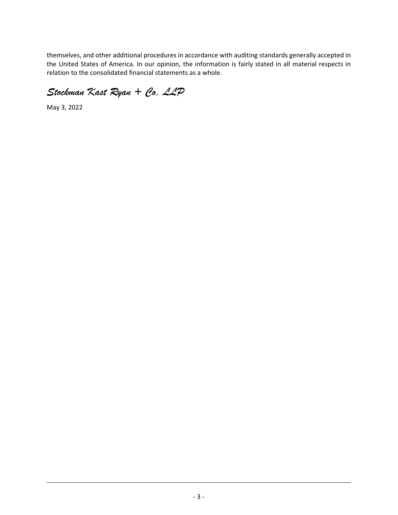themselves, and other additional procedures in accordance with auditing standards generally accepted in the United States of America. In our opinion, the information is fairly stated in all material respects in relation to the consolidated financial statements as a whole.

*Stockman Kast Ryan + Co, LLP* 

May 3, 2022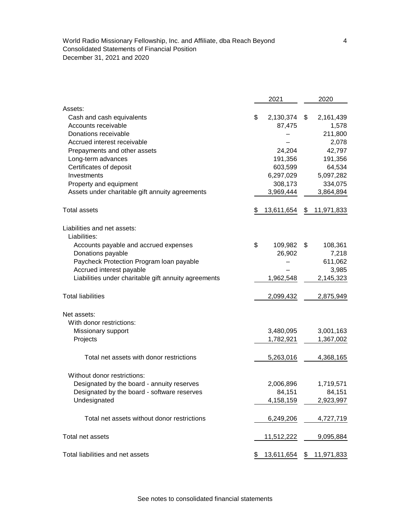## World Radio Missionary Fellowship, Inc. and Affiliate, dba Reach Beyond 44 Consolidated Statements of Financial Position December 31, 2021 and 2020

|                                                      |     | 2021                     | 2020             |
|------------------------------------------------------|-----|--------------------------|------------------|
| Assets:                                              |     |                          |                  |
| Cash and cash equivalents                            | \$  | 2,130,374                | \$<br>2,161,439  |
| Accounts receivable                                  |     | 87,475                   | 1,578            |
| Donations receivable                                 |     |                          | 211,800          |
| Accrued interest receivable                          |     |                          | 2,078            |
| Prepayments and other assets                         |     | 24,204                   | 42,797           |
| Long-term advances                                   |     | 191,356                  | 191,356          |
| Certificates of deposit                              |     | 603,599                  | 64,534           |
| Investments                                          |     | 6,297,029                | 5,097,282        |
| Property and equipment                               |     | 308,173                  | 334,075          |
| Assets under charitable gift annuity agreements      |     | 3,969,444                | 3,864,894        |
| <b>Total assets</b>                                  | \$  | 13,611,654               | \$<br>11,971,833 |
| Liabilities and net assets:                          |     |                          |                  |
| Liabilities:                                         |     |                          |                  |
| Accounts payable and accrued expenses                | \$  | 109,982                  | \$<br>108,361    |
| Donations payable                                    |     | 26,902                   | 7,218            |
| Paycheck Protection Program Ioan payable             |     |                          | 611,062          |
| Accrued interest payable                             |     |                          | 3,985            |
| Liabilities under charitable gift annuity agreements |     | 1,962,548                | 2,145,323        |
| <b>Total liabilities</b>                             |     | 2,099,432                | 2,875,949        |
| Net assets:                                          |     |                          |                  |
| With donor restrictions:                             |     |                          |                  |
| Missionary support                                   |     | 3,480,095                | 3,001,163        |
| Projects                                             |     | 1,782,921                | 1,367,002        |
| Total net assets with donor restrictions             |     | 5,263,016                | 4,368,165        |
|                                                      |     |                          |                  |
| Without donor restrictions:                          |     |                          |                  |
| Designated by the board - annuity reserves           |     | 2,006,896                | 1,719,571        |
| Designated by the board - software reserves          |     | 84,151                   | 84,151           |
| Undesignated                                         |     | 4,158,159                | 2,923,997        |
| Total net assets without donor restrictions          |     | 6,249,206                | 4,727,719        |
| Total net assets                                     |     | 11,512,222               | 9,095,884        |
| Total liabilities and net assets                     | SS. | 13,611,654 \$ 11,971,833 |                  |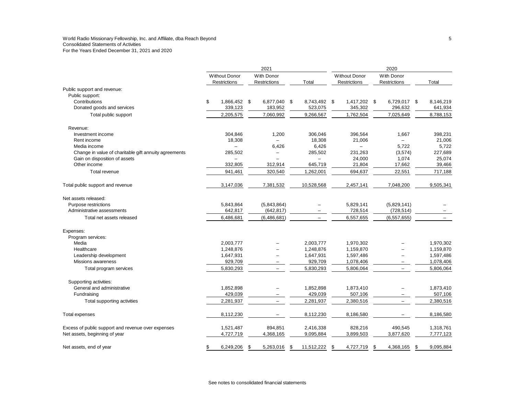#### World Radio Missionary Fellowship, Inc. and Affiliate, dba Reach Beyond 5 Consolidated Statements of Activities For the Years Ended December 31, 2021 and 2020

|                                                       |                                             | 2021                       |                          |                                      | 2020                       |                 |
|-------------------------------------------------------|---------------------------------------------|----------------------------|--------------------------|--------------------------------------|----------------------------|-----------------|
|                                                       | <b>Without Donor</b><br><b>Restrictions</b> | With Donor<br>Restrictions | Total                    | <b>Without Donor</b><br>Restrictions | With Donor<br>Restrictions | Total           |
| Public support and revenue:                           |                                             |                            |                          |                                      |                            |                 |
| Public support:                                       |                                             |                            |                          |                                      |                            |                 |
| Contributions                                         | 1,866,452 \$<br>\$                          | 6,877,040 \$               | 8,743,492 \$             | 1,417,202 \$                         | 6,729,017 \$               | 8,146,219       |
| Donated goods and services                            | 339,123                                     | 183,952                    | 523,075                  | 345,302                              | 296,632                    | 641,934         |
| Total public support                                  | 2,205,575                                   | 7,060,992                  | 9,266,567                | 1,762,504                            | 7,025,649                  | 8,788,153       |
| Revenue:                                              |                                             |                            |                          |                                      |                            |                 |
| Investment income                                     | 304,846                                     | 1,200                      | 306,046                  | 396,564                              | 1,667                      | 398,231         |
| Rent income                                           | 18,308                                      |                            | 18,308                   | 21,006                               | $\overline{\phantom{0}}$   | 21,006          |
| Media income                                          |                                             | 6,426                      | 6,426                    |                                      | 5,722                      | 5,722           |
| Change in value of charitable gift annuity agreements | 285,502                                     |                            | 285,502                  | 231,263                              | (3,574)                    | 227,689         |
| Gain on disposition of assets                         |                                             | $\equiv$                   | $\overline{\phantom{0}}$ | 24,000                               | 1,074                      | 25,074          |
| Other income                                          | 332,805                                     | 312,914                    | 645,719                  | 21,804                               | 17,662                     | 39,466          |
| Total revenue                                         | 941,461                                     | 320,540                    | 1,262,001                | 694,637                              | 22,551                     | 717,188         |
| Total public support and revenue                      | 3,147,036                                   | 7,381,532                  | 10,528,568               | 2,457,141                            | 7,048,200                  | 9,505,341       |
| Net assets released:                                  |                                             |                            |                          |                                      |                            |                 |
| Purpose restrictions                                  | 5,843,864                                   | (5,843,864)                | $\overline{\phantom{0}}$ | 5,829,141                            | (5,829,141)                |                 |
| Administrative assessments                            | 642,817                                     | (642, 817)                 | $\overline{\phantom{0}}$ | 728,514                              | (728, 514)                 |                 |
| Total net assets released                             | 6,486,681                                   | (6,486,681)                | $\overline{\phantom{0}}$ | 6,557,655                            | (6,557,655)                |                 |
| Expenses:                                             |                                             |                            |                          |                                      |                            |                 |
| Program services:                                     |                                             |                            |                          |                                      |                            |                 |
| Media                                                 | 2,003,777                                   |                            | 2,003,777                | 1,970,302                            |                            | 1,970,302       |
| Healthcare                                            | 1,248,876                                   | $\overline{a}$             | 1,248,876                | 1,159,870                            | $\overline{\phantom{0}}$   | 1,159,870       |
| Leadership development                                | 1,647,931                                   | $\overline{\phantom{0}}$   | 1,647,931                | 1,597,486                            | $\qquad \qquad -$          | 1,597,486       |
| Missions awareness                                    | 929,709                                     | $\qquad \qquad -$          | 929,709                  | 1,078,406                            | $\overline{\phantom{a}}$   | 1,078,406       |
| Total program services                                | 5,830,293                                   | $\equiv$                   | 5,830,293                | 5,806,064                            | $-$                        | 5,806,064       |
| Supporting activities:                                |                                             |                            |                          |                                      |                            |                 |
| General and administrative                            | 1,852,898                                   | $\qquad \qquad -$          | 1,852,898                | 1,873,410                            | $\overline{\phantom{0}}$   | 1,873,410       |
| Fundraising                                           | 429,039                                     | $\overline{\phantom{m}}$   | 429,039                  | 507,106                              | $\overline{\phantom{0}}$   | 507,106         |
| Total supporting activities                           | 2,281,937                                   | $\equiv$                   | 2,281,937                | 2,380,516                            | $\equiv$                   | 2,380,516       |
| Total expenses                                        | 8,112,230                                   |                            | 8,112,230                | 8,186,580                            |                            | 8,186,580       |
| Excess of public support and revenue over expenses    | 1,521,487                                   | 894,851                    | 2,416,338                | 828,216                              | 490,545                    | 1,318,761       |
| Net assets, beginning of year                         | 4,727,719                                   | 4,368,165                  | 9,095,884                | 3,899,503                            | 3,877,620                  | 7,777,123       |
| Net assets, end of year                               | 6,249,206<br>\$                             | \$<br>5,263,016            | \$<br>11,512,222         | \$<br>4,727,719                      | \$<br>4,368,165            | \$<br>9,095,884 |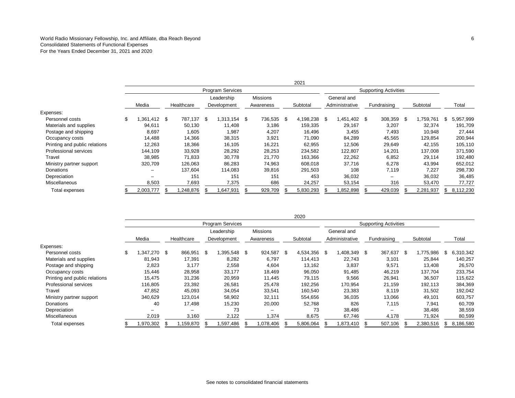#### World Radio Missionary Fellowship, Inc. and Affiliate, dba Reach Beyond 6 Consolidated Statements of Functional Expenses For the Years Ended December 31, 2021 and 2020

|                               |                          |            |      |                         |      |                 |      | 2021      |                    |                              |     |           |           |
|-------------------------------|--------------------------|------------|------|-------------------------|------|-----------------|------|-----------|--------------------|------------------------------|-----|-----------|-----------|
|                               |                          |            |      | <b>Program Services</b> |      |                 |      |           |                    | <b>Supporting Activities</b> |     |           |           |
|                               |                          |            |      | Leadership              |      | <b>Missions</b> |      |           | General and        |                              |     |           |           |
|                               | Media                    | Healthcare |      | Development             |      | Awareness       |      | Subtotal  | Administrative     | Fundraising                  |     | Subtotal  | Total     |
| Expenses:                     |                          |            |      |                         |      |                 |      |           |                    |                              |     |           |           |
| Personnel costs               | \$<br>1,361,412 \$       | 787,137    | - \$ | 1.313.154               | - \$ | 736,535         | - \$ | 4,198,238 | \$<br>1.451.402 \$ | 308,359                      | \$. | 1,759,761 | 5,957,999 |
| Materials and supplies        | 94,611                   | 50,130     |      | 11,408                  |      | 3,186           |      | 159,335   | 29,167             | 3,207                        |     | 32,374    | 191,709   |
| Postage and shipping          | 8,697                    | 1,605      |      | 1,987                   |      | 4,207           |      | 16,496    | 3,455              | 7,493                        |     | 10,948    | 27,444    |
| Occupancy costs               | 14,488                   | 14,366     |      | 38,315                  |      | 3,921           |      | 71.090    | 84,289             | 45,565                       |     | 129,854   | 200,944   |
| Printing and public relations | 12,263                   | 18,366     |      | 16,105                  |      | 16,221          |      | 62,955    | 12,506             | 29,649                       |     | 42,155    | 105,110   |
| Professional services         | 144,109                  | 33,928     |      | 28,292                  |      | 28,253          |      | 234,582   | 122,807            | 14,201                       |     | 137,008   | 371,590   |
| Travel                        | 38,985                   | 71,833     |      | 30,778                  |      | 21,770          |      | 163,366   | 22,262             | 6,852                        |     | 29,114    | 192,480   |
| Ministry partner support      | 320,709                  | 126,063    |      | 86,283                  |      | 74,963          |      | 608,018   | 37,716             | 6,278                        |     | 43,994    | 652,012   |
| Donations                     | $\overline{\phantom{0}}$ | 137.604    |      | 114,083                 |      | 39,816          |      | 291,503   | 108                | 7,119                        |     | 7,227     | 298,730   |
| Depreciation                  |                          | 151        |      | 151                     |      | 151             |      | 453       | 36,032             |                              |     | 36,032    | 36,485    |
| Miscellaneous                 | 8,503                    | 7,693      |      | 7,375                   |      | 686             |      | 24,257    | 53,154             | 316                          |     | 53,470    | 77,727    |
| Total expenses                | 2,003,777                | ,248,876   |      | 647,931                 |      | 929,709         |      | 5,830,293 | 852,898.           | 429,039                      |     | 2,281,937 | 8,112,230 |

|                               |                          |                          |     |                         |    |                 |     | 2020      |                              |                |    |                          |      |           |   |           |
|-------------------------------|--------------------------|--------------------------|-----|-------------------------|----|-----------------|-----|-----------|------------------------------|----------------|----|--------------------------|------|-----------|---|-----------|
|                               |                          |                          |     | <b>Program Services</b> |    |                 |     |           | <b>Supporting Activities</b> |                |    |                          |      |           |   |           |
|                               |                          |                          |     | Leadership              |    | <b>Missions</b> |     |           |                              | General and    |    |                          |      |           |   |           |
|                               | Media                    | Healthcare               |     | Development             |    | Awareness       |     | Subtotal  |                              | Administrative |    | Fundraising              |      | Subtotal  |   | Total     |
| Expenses:                     |                          |                          |     |                         |    |                 |     |           |                              |                |    |                          |      |           |   |           |
| Personnel costs               | $,347,270$ \$            | 866,951                  | -\$ | 1,395,548               | S. | 924,587         | -\$ | 4,534,356 | \$                           | 1,408,349      | \$ | 367,637                  | - \$ | 1,775,986 | S | 6,310,342 |
| Materials and supplies        | 81,943                   | 17,391                   |     | 8,282                   |    | 6,797           |     | 114,413   |                              | 22,743         |    | 3,101                    |      | 25,844    |   | 140,257   |
| Postage and shipping          | 2,823                    | 3,177                    |     | 2,558                   |    | 4,604           |     | 13,162    |                              | 3,837          |    | 9,571                    |      | 13,408    |   | 26,570    |
| Occupancy costs               | 15,446                   | 28,958                   |     | 33,177                  |    | 18,469          |     | 96,050    |                              | 91,485         |    | 46,219                   |      | 137,704   |   | 233,754   |
| Printing and public relations | 15,475                   | 31,236                   |     | 20,959                  |    | 11.445          |     | 79,115    |                              | 9,566          |    | 26,941                   |      | 36,507    |   | 115,622   |
| Professional services         | 116,805                  | 23,392                   |     | 26,581                  |    | 25.478          |     | 192,256   |                              | 170,954        |    | 21,159                   |      | 192,113   |   | 384,369   |
| Travel                        | 47,852                   | 45,093                   |     | 34,054                  |    | 33,541          |     | 160,540   |                              | 23,383         |    | 8,119                    |      | 31,502    |   | 192,042   |
| Ministry partner support      | 340,629                  | 123,014                  |     | 58,902                  |    | 32,111          |     | 554,656   |                              | 36,035         |    | 13,066                   |      | 49,101    |   | 603,757   |
| Donations                     | 40                       | 17,498                   |     | 15,230                  |    | 20,000          |     | 52,768    |                              | 826            |    | 7,115                    |      | 7,941     |   | 60,709    |
| Depreciation                  | $\overline{\phantom{0}}$ | $\overline{\phantom{0}}$ |     | 73                      |    | —               |     | 73        |                              | 38,486         |    | $\overline{\phantom{m}}$ |      | 38,486    |   | 38,559    |
| Miscellaneous                 | 2,019                    | 3,160                    |     | 2,122                   |    | 1,374           |     | 8,675     |                              | 67,746         |    | 4,178                    |      | 71,924    |   | 80,599    |
| Total expenses                | 970,302.                 | 1,159,870                |     | 1,597,486               |    | 1,078,406       |     | 5,806,064 | \$.                          | 1,873,410      |    | 507,106                  |      | 2,380,516 |   | 8,186,580 |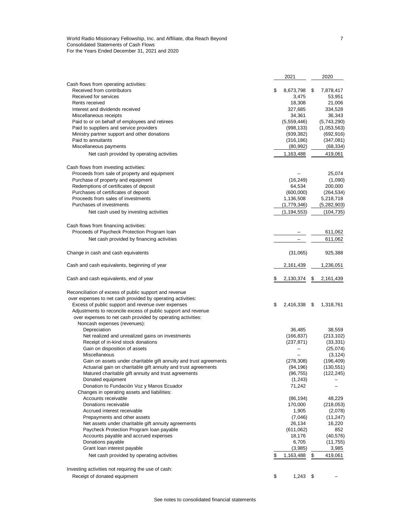#### World Radio Missionary Fellowship, Inc. and Affiliate, dba Reach Beyond 7 Consolidated Statements of Cash Flows For the Years Ended December 31, 2021 and 2020

|                                                                   | 2021             | 2020                |
|-------------------------------------------------------------------|------------------|---------------------|
| Cash flows from operating activities:                             |                  |                     |
| Received from contributors<br>Received for services               | \$<br>8,673,798  | \$<br>7,878,417     |
| Rents received                                                    | 3,475<br>18,308  | 53,951<br>21,006    |
| Interest and dividends received                                   | 327,685          | 334,528             |
| Miscellaneous receipts                                            | 34,361           | 36,343              |
| Paid to or on behalf of employees and retirees                    | (5,559,446)      | (5,743,290)         |
| Paid to suppliers and service providers                           | (998, 133)       | (1,053,563)         |
| Ministry partner support and other donations                      | (939, 382)       | (692, 916)          |
| Paid to annuitants                                                | (316, 186)       | (347,081)           |
| Miscellaneous payments                                            | (80, 992)        | (68, 334)           |
| Net cash provided by operating activities                         | 1,163,488        | 419,061             |
| Cash flows from investing activities:                             |                  |                     |
| Proceeds from sale of property and equipment                      |                  | 25,074              |
| Purchase of property and equipment                                | (16, 249)        | (1,090)             |
| Redemptions of certificates of deposit                            | 64,534           | 200,000             |
| Purchases of certificates of deposit                              | (600,000)        | (264, 534)          |
| Proceeds from sales of investments                                | 1,136,508        | 5,218,718           |
| Purchases of investments                                          | (1,779,346)      | (5,282,903)         |
| Net cash used by investing activities                             | (1, 194, 553)    | (104, 735)          |
| Cash flows from financing activities:                             |                  |                     |
| Proceeds of Paycheck Protection Program Ioan                      |                  | 611,062             |
| Net cash provided by financing activities                         |                  | 611,062             |
| Change in cash and cash equivalents                               | (31,065)         | 925,388             |
| Cash and cash equivalents, beginning of year                      | 2,161,439        | 1,236,051           |
| Cash and cash equivalents, end of year                            | \$<br>2,130,374  | \$<br>2,161,439     |
| Reconciliation of excess of public support and revenue            |                  |                     |
| over expenses to net cash provided by operating activities:       |                  |                     |
| Excess of public support and revenue over expenses                | \$<br>2,416,338  | \$<br>1,318,761     |
| Adjustments to reconcile excess of public support and revenue     |                  |                     |
| over expenses to net cash provided by operating activities:       |                  |                     |
| Noncash expenses (revenues):                                      |                  |                     |
| Depreciation                                                      | 36,485           | 38,559              |
| Net realized and unrealized gains on investments                  | (166, 837)       | (213, 102)          |
| Receipt of in-kind stock donations                                | (237, 871)       | (33, 331)           |
| Gain on disposition of assets                                     |                  | (25,074)            |
| Miscellaneous                                                     |                  | (3, 124)            |
| Gain on assets under charitable gift annuity and trust agreements | (278, 308)       | (196, 409)          |
| Actuarial gain on charitable gift annuity and trust agreements    | (94, 196)        | (130, 551)          |
| Matured charitable gift annuity and trust agreements              | (96, 755)        | (122, 245)          |
| Donated equipment                                                 | (1,243)          |                     |
| Donation to Fundación Voz y Manos Ecuador                         | 71,242           |                     |
| Changes in operating assets and liabilities:                      |                  |                     |
| Accounts receivable<br>Donations receivable                       | (86, 194)        | 48,229              |
| Accrued interest receivable                                       | 170,000          | (218, 053)          |
| Prepayments and other assets                                      | 1,905<br>(7,046) | (2,078)             |
| Net assets under charitable gift annuity agreements               | 26,134           | (11, 247)<br>16,220 |
| Paycheck Protection Program Ioan payable                          | (611,062)        |                     |
| Accounts payable and accrued expenses                             | 18,176           | 852<br>(40, 576)    |
| Donations payable                                                 | 6,705            | (11, 755)           |
| Grant loan interest payable                                       | (3,985)          | 3,985               |
| Net cash provided by operating activities                         | \$<br>1,163,488  | \$<br>419,061       |
|                                                                   |                  |                     |
| Investing activities not requiring the use of cash:               |                  |                     |
| Receipt of donated equipment                                      | \$<br>$1,243$ \$ |                     |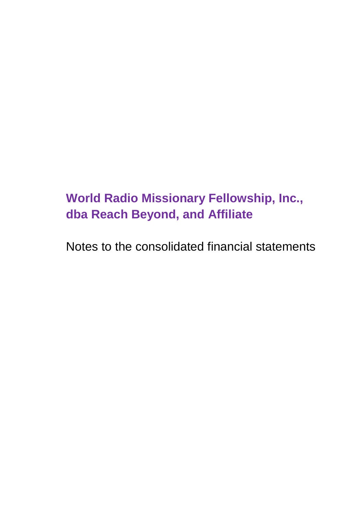# <span id="page-10-0"></span>**World Radio Missionary Fellowship, Inc., dba Reach Beyond, and Affiliate**

Notes to the consolidated financial statements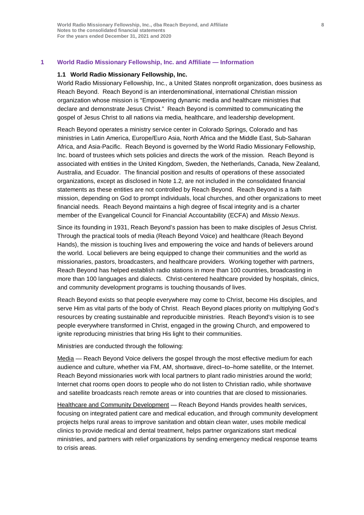#### **1 World Radio Missionary Fellowship, Inc. and Affiliate — Information**

#### <span id="page-11-1"></span><span id="page-11-0"></span>**1.1 World Radio Missionary Fellowship, Inc.**

World Radio Missionary Fellowship, Inc., a United States nonprofit organization, does business as Reach Beyond. Reach Beyond is an interdenominational, international Christian mission organization whose mission is "Empowering dynamic media and healthcare ministries that declare and demonstrate Jesus Christ." Reach Beyond is committed to communicating the gospel of Jesus Christ to all nations via media, healthcare, and leadership development.

Reach Beyond operates a ministry service center in Colorado Springs, Colorado and has ministries in Latin America, Europe/Euro Asia, North Africa and the Middle East, Sub-Saharan Africa, and Asia-Pacific. Reach Beyond is governed by the World Radio Missionary Fellowship, Inc. board of trustees which sets policies and directs the work of the mission. Reach Beyond is associated with entities in the United Kingdom, Sweden, the Netherlands, Canada, New Zealand, Australia, and Ecuador. The financial position and results of operations of these associated organizations, except as disclosed in Note 1.2, are not included in the consolidated financial statements as these entities are not controlled by Reach Beyond. Reach Beyond is a faith mission, depending on God to prompt individuals, local churches, and other organizations to meet financial needs. Reach Beyond maintains a high degree of fiscal integrity and is a charter member of the Evangelical Council for Financial Accountability (ECFA) and *Missio Nexus*.

Since its founding in 1931, Reach Beyond's passion has been to make disciples of Jesus Christ. Through the practical tools of media (Reach Beyond Voice) and healthcare (Reach Beyond Hands), the mission is touching lives and empowering the voice and hands of believers around the world. Local believers are being equipped to change their communities and the world as missionaries, pastors, broadcasters, and healthcare providers. Working together with partners, Reach Beyond has helped establish radio stations in more than 100 countries, broadcasting in more than 100 languages and dialects. Christ-centered healthcare provided by hospitals, clinics, and community development programs is touching thousands of lives.

Reach Beyond exists so that people everywhere may come to Christ, become His disciples, and serve Him as vital parts of the body of Christ. Reach Beyond places priority on multiplying God's resources by creating sustainable and reproducible ministries. Reach Beyond's vision is to see people everywhere transformed in Christ, engaged in the growing Church, and empowered to ignite reproducing ministries that bring His light to their communities.

Ministries are conducted through the following:

Media — Reach Beyond Voice delivers the gospel through the most effective medium for each audience and culture, whether via FM, AM, shortwave, direct–to–home satellite, or the Internet. Reach Beyond missionaries work with local partners to plant radio ministries around the world; Internet chat rooms open doors to people who do not listen to Christian radio, while shortwave and satellite broadcasts reach remote areas or into countries that are closed to missionaries.

Healthcare and Community Development — Reach Beyond Hands provides health services, focusing on integrated patient care and medical education, and through community development projects helps rural areas to improve sanitation and obtain clean water, uses mobile medical clinics to provide medical and dental treatment, helps partner organizations start medical ministries, and partners with relief organizations by sending emergency medical response teams to crisis areas.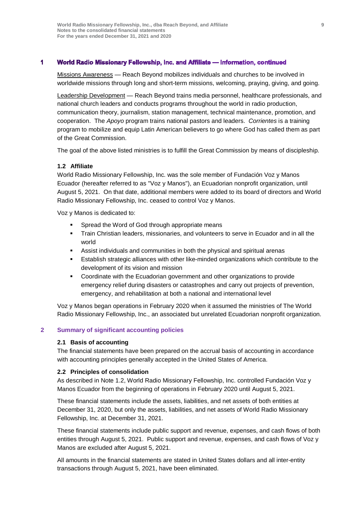#### $\blacktriangleleft$ World Radio Missionary Fellowship, Inc. and Affiliate - Information, continued

Missions Awareness — Reach Beyond mobilizes individuals and churches to be involved in worldwide missions through long and short-term missions, welcoming, praying, giving, and going.

Leadership Development — Reach Beyond trains media personnel, healthcare professionals, and national church leaders and conducts programs throughout the world in radio production, communication theory, journalism, station management, technical maintenance, promotion, and cooperation. The *Apoyo* program trains national pastors and leaders. *Corrientes* is a training program to mobilize and equip Latin American believers to go where God has called them as part of the Great Commission.

The goal of the above listed ministries is to fulfill the Great Commission by means of discipleship.

#### <span id="page-12-0"></span>**1.2 Affiliate**

World Radio Missionary Fellowship, Inc. was the sole member of Fundación Voz y Manos Ecuador (hereafter referred to as "Voz y Manos"), an Ecuadorian nonprofit organization, until August 5, 2021. On that date, additional members were added to its board of directors and World Radio Missionary Fellowship, Inc. ceased to control Voz y Manos.

Voz y Manos is dedicated to:

- **Spread the Word of God through appropriate means**
- Train Christian leaders, missionaries, and volunteers to serve in Ecuador and in all the world
- Assist individuals and communities in both the physical and spiritual arenas
- Establish strategic alliances with other like-minded organizations which contribute to the development of its vision and mission
- Coordinate with the Ecuadorian government and other organizations to provide emergency relief during disasters or catastrophes and carry out projects of prevention, emergency, and rehabilitation at both a national and international level

Voz y Manos began operations in February 2020 when it assumed the ministries of The World Radio Missionary Fellowship, Inc., an associated but unrelated Ecuadorian nonprofit organization.

#### **2 Summary of significant accounting policies**

#### <span id="page-12-2"></span><span id="page-12-1"></span>**2.1 Basis of accounting**

The financial statements have been prepared on the accrual basis of accounting in accordance with accounting principles generally accepted in the United States of America.

#### <span id="page-12-3"></span>**2.2 Principles of consolidation**

As described in Note 1.2, World Radio Missionary Fellowship, Inc. controlled Fundación Voz y Manos Ecuador from the beginning of operations in February 2020 until August 5, 2021.

These financial statements include the assets, liabilities, and net assets of both entities at December 31, 2020, but only the assets, liabilities, and net assets of World Radio Missionary Fellowship, Inc. at December 31, 2021.

These financial statements include public support and revenue, expenses, and cash flows of both entities through August 5, 2021. Public support and revenue, expenses, and cash flows of Voz y Manos are excluded after August 5, 2021.

All amounts in the financial statements are stated in United States dollars and all inter-entity transactions through August 5, 2021, have been eliminated.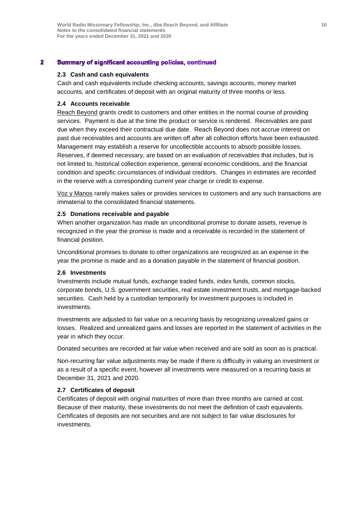#### <span id="page-13-0"></span>**2.3 Cash and cash equivalents**

Cash and cash equivalents include checking accounts, savings accounts, money market accounts, and certificates of deposit with an original maturity of three months or less.

#### <span id="page-13-1"></span>**2.4 Accounts receivable**

Reach Beyond grants credit to customers and other entities in the normal course of providing services. Payment is due at the time the product or service is rendered. Receivables are past due when they exceed their contractual due date. Reach Beyond does not accrue interest on past due receivables and accounts are written off after all collection efforts have been exhausted. Management may establish a reserve for uncollectible accounts to absorb possible losses. Reserves, if deemed necessary, are based on an evaluation of receivables that includes, but is not limited to, historical collection experience, general economic conditions, and the financial condition and specific circumstances of individual creditors. Changes in estimates are recorded in the reserve with a corresponding current year charge or credit to expense.

Voz y Manos rarely makes sales or provides services to customers and any such transactions are immaterial to the consolidated financial statements.

#### <span id="page-13-2"></span>**2.5 Donations receivable and payable**

When another organization has made an unconditional promise to donate assets, revenue is recognized in the year the promise is made and a receivable is recorded in the statement of financial position.

Unconditional promises to donate to other organizations are recognized as an expense in the year the promise is made and as a donation payable in the statement of financial position.

#### <span id="page-13-3"></span>**2.6 Investments**

Investments include mutual funds, exchange traded funds, index funds, common stocks, corporate bonds, U.S. government securities, real estate investment trusts, and mortgage-backed securities. Cash held by a custodian temporarily for investment purposes is included in investments.

Investments are adjusted to fair value on a recurring basis by recognizing unrealized gains or losses. Realized and unrealized gains and losses are reported in the statement of activities in the year in which they occur.

Donated securities are recorded at fair value when received and are sold as soon as is practical.

Non-recurring fair value adjustments may be made if there is difficulty in valuing an investment or as a result of a specific event, however all investments were measured on a recurring basis at December 31, 2021 and 2020.

#### <span id="page-13-4"></span>**2.7 Certificates of deposit**

Certificates of deposit with original maturities of more than three months are carried at cost. Because of their maturity, these investments do not meet the definition of cash equivalents. Certificates of deposits are not securities and are not subject to fair value disclosures for investments.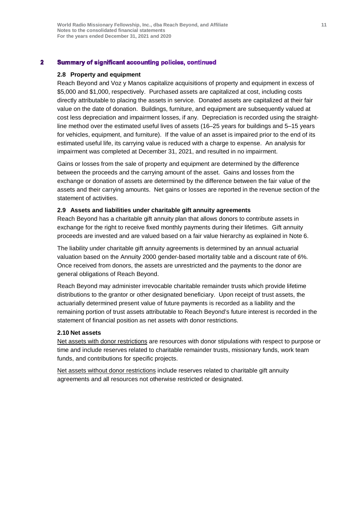#### <span id="page-14-0"></span>**2.8 Property and equipment**

Reach Beyond and Voz y Manos capitalize acquisitions of property and equipment in excess of \$5,000 and \$1,000, respectively. Purchased assets are capitalized at cost, including costs directly attributable to placing the assets in service. Donated assets are capitalized at their fair value on the date of donation. Buildings, furniture, and equipment are subsequently valued at cost less depreciation and impairment losses, if any. Depreciation is recorded using the straightline method over the estimated useful lives of assets (16–25 years for buildings and 5–15 years for vehicles, equipment, and furniture). If the value of an asset is impaired prior to the end of its estimated useful life, its carrying value is reduced with a charge to expense. An analysis for impairment was completed at December 31, 2021, and resulted in no impairment.

Gains or losses from the sale of property and equipment are determined by the difference between the proceeds and the carrying amount of the asset. Gains and losses from the exchange or donation of assets are determined by the difference between the fair value of the assets and their carrying amounts. Net gains or losses are reported in the revenue section of the statement of activities.

#### <span id="page-14-1"></span>**2.9 Assets and liabilities under charitable gift annuity agreements**

Reach Beyond has a charitable gift annuity plan that allows donors to contribute assets in exchange for the right to receive fixed monthly payments during their lifetimes. Gift annuity proceeds are invested and are valued based on a fair value hierarchy as explained in Note 6.

The liability under charitable gift annuity agreements is determined by an annual actuarial valuation based on the Annuity 2000 gender-based mortality table and a discount rate of 6%. Once received from donors, the assets are unrestricted and the payments to the donor are general obligations of Reach Beyond.

Reach Beyond may administer irrevocable charitable remainder trusts which provide lifetime distributions to the grantor or other designated beneficiary. Upon receipt of trust assets, the actuarially determined present value of future payments is recorded as a liability and the remaining portion of trust assets attributable to Reach Beyond's future interest is recorded in the statement of financial position as net assets with donor restrictions.

#### <span id="page-14-2"></span>**2.10 Net assets**

Net assets with donor restrictions are resources with donor stipulations with respect to purpose or time and include reserves related to charitable remainder trusts, missionary funds, work team funds, and contributions for specific projects.

Net assets without donor restrictions include reserves related to charitable gift annuity agreements and all resources not otherwise restricted or designated.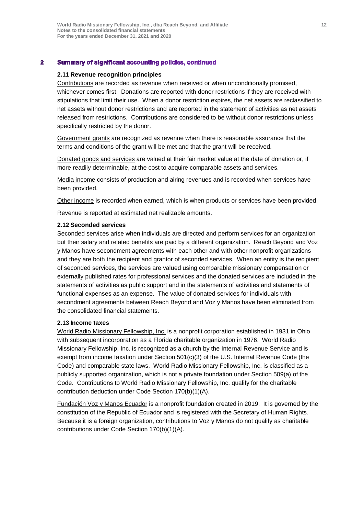#### <span id="page-15-0"></span>**2.11 Revenue recognition principles**

Contributions are recorded as revenue when received or when unconditionally promised, whichever comes first. Donations are reported with donor restrictions if they are received with stipulations that limit their use. When a donor restriction expires, the net assets are reclassified to net assets without donor restrictions and are reported in the statement of activities as net assets released from restrictions. Contributions are considered to be without donor restrictions unless specifically restricted by the donor.

Government grants are recognized as revenue when there is reasonable assurance that the terms and conditions of the grant will be met and that the grant will be received.

Donated goods and services are valued at their fair market value at the date of donation or, if more readily determinable, at the cost to acquire comparable assets and services.

Media income consists of production and airing revenues and is recorded when services have been provided.

Other income is recorded when earned, which is when products or services have been provided.

Revenue is reported at estimated net realizable amounts.

#### <span id="page-15-1"></span>**2.12 Seconded services**

Seconded services arise when individuals are directed and perform services for an organization but their salary and related benefits are paid by a different organization. Reach Beyond and Voz y Manos have secondment agreements with each other and with other nonprofit organizations and they are both the recipient and grantor of seconded services. When an entity is the recipient of seconded services, the services are valued using comparable missionary compensation or externally published rates for professional services and the donated services are included in the statements of activities as public support and in the statements of activities and statements of functional expenses as an expense. The value of donated services for individuals with secondment agreements between Reach Beyond and Voz y Manos have been eliminated from the consolidated financial statements.

#### <span id="page-15-2"></span>**2.13 Income taxes**

World Radio Missionary Fellowship, Inc. is a nonprofit corporation established in 1931 in Ohio with subsequent incorporation as a Florida charitable organization in 1976. World Radio Missionary Fellowship, Inc. is recognized as a church by the Internal Revenue Service and is exempt from income taxation under Section 501(c)(3) of the U.S. Internal Revenue Code (the Code) and comparable state laws. World Radio Missionary Fellowship, Inc. is classified as a publicly supported organization, which is not a private foundation under Section 509(a) of the Code. Contributions to World Radio Missionary Fellowship, Inc. qualify for the charitable contribution deduction under Code Section 170(b)(1)(A).

Fundación Voz y Manos Ecuador is a nonprofit foundation created in 2019. It is governed by the constitution of the Republic of Ecuador and is registered with the Secretary of Human Rights. Because it is a foreign organization, contributions to Voz y Manos do not qualify as charitable contributions under Code Section 170(b)(1)(A).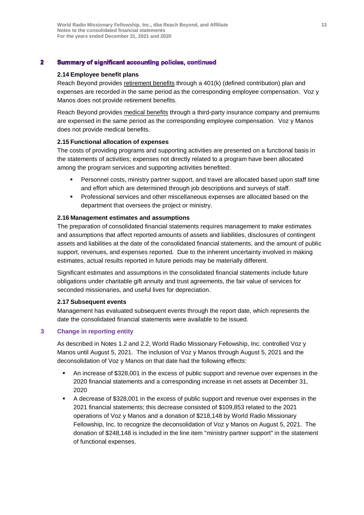#### <span id="page-16-0"></span>**2.14 Employee benefit plans**

Reach Beyond provides retirement benefits through a 401(k) (defined contribution) plan and expenses are recorded in the same period as the corresponding employee compensation. Voz y Manos does not provide retirement benefits.

Reach Beyond provides medical benefits through a third-party insurance company and premiums are expensed in the same period as the corresponding employee compensation. Voz y Manos does not provide medical benefits.

## <span id="page-16-1"></span>**2.15 Functional allocation of expenses**

The costs of providing programs and supporting activities are presented on a functional basis in the statements of activities; expenses not directly related to a program have been allocated among the program services and supporting activities benefited:

- Personnel costs, ministry partner support, and travel are allocated based upon staff time and effort which are determined through job descriptions and surveys of staff.
- Professional services and other miscellaneous expenses are allocated based on the department that oversees the project or ministry.

#### <span id="page-16-2"></span>**2.16 Management estimates and assumptions**

The preparation of consolidated financial statements requires management to make estimates and assumptions that affect reported amounts of assets and liabilities, disclosures of contingent assets and liabilities at the date of the consolidated financial statements, and the amount of public support, revenues, and expenses reported. Due to the inherent uncertainty involved in making estimates, actual results reported in future periods may be materially different.

Significant estimates and assumptions in the consolidated financial statements include future obligations under charitable gift annuity and trust agreements, the fair value of services for seconded missionaries, and useful lives for depreciation.

#### <span id="page-16-3"></span>**2.17 Subsequent events**

Management has evaluated subsequent events through the report date, which represents the date the consolidated financial statements were available to be issued.

#### **3 Change in reporting entity**

<span id="page-16-4"></span>As described in Notes 1.2 and 2.2, World Radio Missionary Fellowship, Inc. controlled Voz y Manos until August 5, 2021. The inclusion of Voz y Manos through August 5, 2021 and the deconsolidation of Voz y Manos on that date had the following effects:

- An increase of \$328,001 in the excess of public support and revenue over expenses in the 2020 financial statements and a corresponding increase in net assets at December 31, 2020
- A decrease of \$328,001 in the excess of public support and revenue over expenses in the 2021 financial statements; this decrease consisted of \$109,853 related to the 2021 operations of Voz y Manos and a donation of \$218,148 by World Radio Missionary Fellowship, Inc. to recognize the deconsolidation of Voz y Manos on August 5, 2021. The donation of \$248,148 is included in the line item "ministry partner support" in the statement of functional expenses.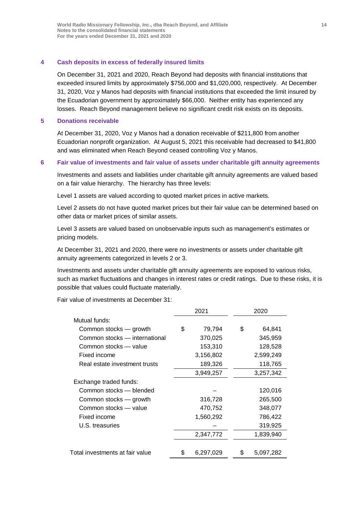#### **4 Cash deposits in excess of federally insured limits**

<span id="page-17-0"></span>On December 31, 2021 and 2020, Reach Beyond had deposits with financial institutions that exceeded insured limits by approximately \$756,000 and \$1,020,000, respectively. At December 31, 2020, Voz y Manos had deposits with financial institutions that exceeded the limit insured by the Ecuadorian government by approximately \$66,000. Neither entity has experienced any losses. Reach Beyond management believe no significant credit risk exists on its deposits.

### **5 Donations receivable**

<span id="page-17-1"></span>At December 31, 2020, Voz y Manos had a donation receivable of \$211,800 from another Ecuadorian nonprofit organization. At August 5, 2021 this receivable had decreased to \$41,800 and was eliminated when Reach Beyond ceased controlling Voz y Manos.

#### **6 Fair value of investments and fair value of assets under charitable gift annuity agreements**

<span id="page-17-2"></span>Investments and assets and liabilities under charitable gift annuity agreements are valued based on a fair value hierarchy. The hierarchy has three levels:

Level 1 assets are valued according to quoted market prices in active markets.

Level 2 assets do not have quoted market prices but their fair value can be determined based on other data or market prices of similar assets.

Level 3 assets are valued based on unobservable inputs such as management's estimates or pricing models.

At December 31, 2021 and 2020, there were no investments or assets under charitable gift annuity agreements categorized in levels 2 or 3.

Investments and assets under charitable gift annuity agreements are exposed to various risks, such as market fluctuations and changes in interest rates or credit ratings. Due to these risks, it is possible that values could fluctuate materially.

Fair value of investments at December 31:

|                                 | 2021            | 2020            |
|---------------------------------|-----------------|-----------------|
| Mutual funds:                   |                 |                 |
| Common stocks — growth          | \$<br>79,794    | \$<br>64,841    |
| Common stocks - international   | 370,025         | 345,959         |
| Common stocks - value           | 153,310         | 128,528         |
| Fixed income                    | 3,156,802       | 2,599,249       |
| Real estate investment trusts   | 189,326         | 118,765         |
|                                 | 3,949,257       | 3,257,342       |
| Exchange traded funds:          |                 |                 |
| Common stocks – blended         |                 | 120,016         |
| Common stocks — growth          | 316,728         | 265,500         |
| Common stocks — value           | 470,752         | 348,077         |
| Fixed income                    | 1,560,292       | 786,422         |
| U.S. treasuries                 |                 | 319,925         |
|                                 | 2,347,772       | 1,839,940       |
|                                 |                 |                 |
| Total investments at fair value | \$<br>6,297,029 | \$<br>5,097,282 |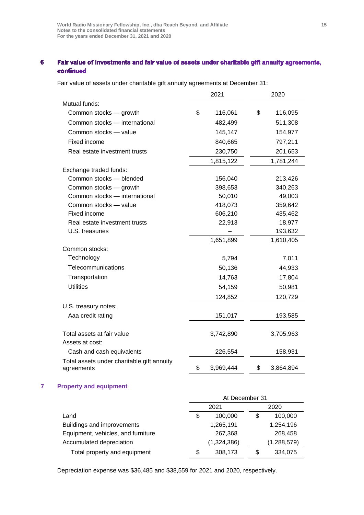#### $6\phantom{a}$ Fair value of investments and fair value of assets under charitable gift annuity agreements, continued

Fair value of assets under charitable gift annuity agreements at December 31:

|                                                          | 2021            | 2020            |
|----------------------------------------------------------|-----------------|-----------------|
| Mutual funds:                                            |                 |                 |
| Common stocks - growth                                   | \$<br>116,061   | \$<br>116,095   |
| Common stocks - international                            | 482,499         | 511,308         |
| Common stocks - value                                    | 145,147         | 154,977         |
| Fixed income                                             | 840,665         | 797,211         |
| Real estate investment trusts                            | 230,750         | 201,653         |
|                                                          | 1,815,122       | 1,781,244       |
| Exchange traded funds:                                   |                 |                 |
| Common stocks - blended                                  | 156,040         | 213,426         |
| Common stocks - growth                                   | 398,653         | 340,263         |
| Common stocks - international                            | 50,010          | 49,003          |
| Common stocks - value                                    | 418,073         | 359,642         |
| Fixed income                                             | 606,210         | 435,462         |
| Real estate investment trusts                            | 22,913          | 18,977          |
| U.S. treasuries                                          |                 | 193,632         |
|                                                          | 1,651,899       | 1,610,405       |
| Common stocks:                                           |                 |                 |
| Technology                                               | 5,794           | 7,011           |
| Telecommunications                                       | 50,136          | 44,933          |
| Transportation                                           | 14,763          | 17,804          |
| <b>Utilities</b>                                         | 54,159          | 50,981          |
|                                                          | 124,852         | 120,729         |
| U.S. treasury notes:                                     |                 |                 |
| Aaa credit rating                                        | 151,017         | 193,585         |
| Total assets at fair value<br>Assets at cost:            | 3,742,890       | 3,705,963       |
| Cash and cash equivalents                                | 226,554         | 158,931         |
| Total assets under charitable gift annuity<br>agreements | \$<br>3,969,444 | \$<br>3,864,894 |

## **7 Property and equipment**

<span id="page-18-0"></span>

|                                    | At December 31 |             |    |             |  |  |  |  |
|------------------------------------|----------------|-------------|----|-------------|--|--|--|--|
|                                    |                | 2021        |    | 2020        |  |  |  |  |
| Land                               | \$             | 100.000     | \$ | 100,000     |  |  |  |  |
| Buildings and improvements         |                | 1,265,191   |    | 1,254,196   |  |  |  |  |
| Equipment, vehicles, and furniture |                | 267,368     |    | 268,458     |  |  |  |  |
| Accumulated depreciation           |                | (1,324,386) |    | (1,288,579) |  |  |  |  |
| Total property and equipment       | \$             | 308,173     | S  | 334,075     |  |  |  |  |

Depreciation expense was \$36,485 and \$38,559 for 2021 and 2020, respectively.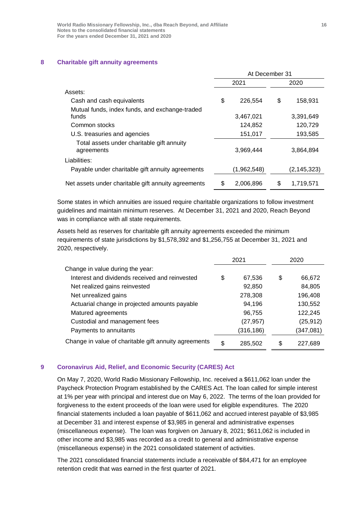#### **8 Charitable gift annuity agreements**

<span id="page-19-0"></span>

|                                                          | At December 31 |             |    |               |  |  |  |
|----------------------------------------------------------|----------------|-------------|----|---------------|--|--|--|
|                                                          |                | 2021        |    | 2020          |  |  |  |
| Assets:                                                  |                |             |    |               |  |  |  |
| Cash and cash equivalents                                | \$             | 226,554     | \$ | 158,931       |  |  |  |
| Mutual funds, index funds, and exchange-traded           |                |             |    |               |  |  |  |
| funds                                                    |                | 3,467,021   |    | 3,391,649     |  |  |  |
| Common stocks                                            |                | 124,852     |    | 120,729       |  |  |  |
| U.S. treasuries and agencies                             |                | 151,017     |    | 193,585       |  |  |  |
| Total assets under charitable gift annuity<br>agreements |                | 3,969,444   |    | 3,864,894     |  |  |  |
| Liabilities:                                             |                |             |    |               |  |  |  |
| Payable under charitable gift annuity agreements         |                | (1,962,548) |    | (2, 145, 323) |  |  |  |
| Net assets under charitable gift annuity agreements      | \$.            | 2,006,896   | \$ | 1,719,571     |  |  |  |

Some states in which annuities are issued require charitable organizations to follow investment guidelines and maintain minimum reserves. At December 31, 2021 and 2020, Reach Beyond was in compliance with all state requirements.

Assets held as reserves for charitable gift annuity agreements exceeded the minimum requirements of state jurisdictions by \$1,578,392 and \$1,256,755 at December 31, 2021 and 2020, respectively.

|                                                       | 2021          |    | 2020      |
|-------------------------------------------------------|---------------|----|-----------|
| Change in value during the year:                      |               |    |           |
| Interest and dividends received and reinvested        | \$<br>67,536  | \$ | 66,672    |
| Net realized gains reinvested                         | 92,850        |    | 84,805    |
| Net unrealized gains                                  | 278,308       |    | 196,408   |
| Actuarial change in projected amounts payable         | 94,196        |    | 130,552   |
| Matured agreements                                    | 96,755        |    | 122,245   |
| Custodial and management fees                         | (27, 957)     |    | (25, 912) |
| Payments to annuitants                                | (316,186)     |    | (347,081) |
| Change in value of charitable gift annuity agreements | \$<br>285,502 | S  | 227,689   |

### **9 Coronavirus Aid, Relief, and Economic Security (CARES) Act**

<span id="page-19-1"></span>On May 7, 2020, World Radio Missionary Fellowship, Inc. received a \$611,062 loan under the Paycheck Protection Program established by the CARES Act. The loan called for simple interest at 1% per year with principal and interest due on May 6, 2022. The terms of the loan provided for forgiveness to the extent proceeds of the loan were used for eligible expenditures. The 2020 financial statements included a loan payable of \$611,062 and accrued interest payable of \$3,985 at December 31 and interest expense of \$3,985 in general and administrative expenses (miscellaneous expense). The loan was forgiven on January 8, 2021; \$611,062 is included in other income and \$3,985 was recorded as a credit to general and administrative expense (miscellaneous expense) in the 2021 consolidated statement of activities.

The 2021 consolidated financial statements include a receivable of \$84,471 for an employee retention credit that was earned in the first quarter of 2021.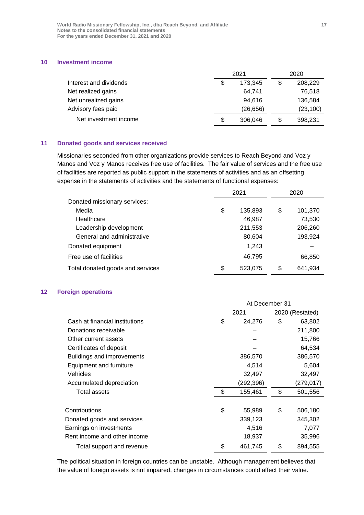#### <span id="page-20-0"></span>**10 Investment income**

|                        |    | 2021      | 2020          |
|------------------------|----|-----------|---------------|
| Interest and dividends | \$ | 173.345   | \$<br>208,229 |
| Net realized gains     |    | 64.741    | 76,518        |
| Net unrealized gains   |    | 94.616    | 136,584       |
| Advisory fees paid     |    | (26, 656) | (23, 100)     |
| Net investment income  | S  | 306,046   | \$<br>398,231 |

#### **11 Donated goods and services received**

<span id="page-20-1"></span>Missionaries seconded from other organizations provide services to Reach Beyond and Voz y Manos and Voz y Manos receives free use of facilities. The fair value of services and the free use of facilities are reported as public support in the statements of activities and as an offsetting expense in the statements of activities and the statements of functional expenses:

|                                  |        | 2021    |    | 2020    |
|----------------------------------|--------|---------|----|---------|
| Donated missionary services:     |        |         |    |         |
| Media                            | \$     | 135,893 | \$ | 101,370 |
| Healthcare                       |        | 46,987  |    | 73,530  |
| Leadership development           |        | 211,553 |    | 206,260 |
| General and administrative       |        | 80,604  |    | 193,924 |
| Donated equipment                |        | 1,243   |    |         |
| Free use of facilities           | 46,795 |         |    | 66,850  |
| Total donated goods and services | \$     | 523,075 | \$ | 641,934 |

#### <span id="page-20-2"></span>**12 Foreign operations**

|                                | At December 31 |           |    |                 |  |  |  |  |  |  |  |
|--------------------------------|----------------|-----------|----|-----------------|--|--|--|--|--|--|--|
|                                |                | 2021      |    | 2020 (Restated) |  |  |  |  |  |  |  |
| Cash at financial institutions | \$             | 24,276    | \$ | 63,802          |  |  |  |  |  |  |  |
| Donations receivable           |                |           |    |                 |  |  |  |  |  |  |  |
| Other current assets           |                |           |    | 15,766          |  |  |  |  |  |  |  |
| Certificates of deposit        |                |           |    | 64,534          |  |  |  |  |  |  |  |
| Buildings and improvements     |                | 386,570   |    | 386,570         |  |  |  |  |  |  |  |
| Equipment and furniture        |                | 4,514     |    | 5,604           |  |  |  |  |  |  |  |
| <b>Vehicles</b>                |                | 32,497    |    | 32,497          |  |  |  |  |  |  |  |
| Accumulated depreciation       |                | (292,396) |    | (279, 017)      |  |  |  |  |  |  |  |
| <b>Total assets</b>            | \$             | 155,461   | \$ | 501,556         |  |  |  |  |  |  |  |
|                                |                |           |    |                 |  |  |  |  |  |  |  |
| Contributions                  | \$             | 55,989    | \$ | 506,180         |  |  |  |  |  |  |  |
| Donated goods and services     |                | 339,123   |    | 345,302         |  |  |  |  |  |  |  |
| Earnings on investments        |                | 4,516     |    | 7,077           |  |  |  |  |  |  |  |
| Rent income and other income   |                | 18,937    |    | 35,996          |  |  |  |  |  |  |  |
| Total support and revenue      | \$             | 461,745   | \$ | 894,555         |  |  |  |  |  |  |  |

The political situation in foreign countries can be unstable. Although management believes that the value of foreign assets is not impaired, changes in circumstances could affect their value.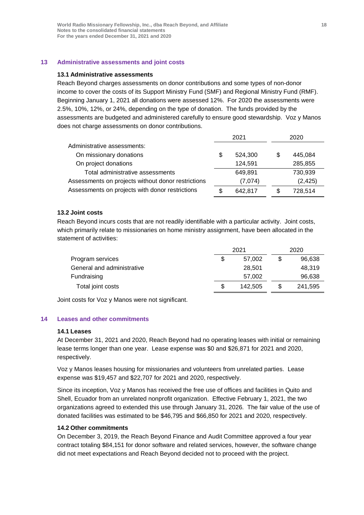#### **13 Administrative assessments and joint costs**

#### <span id="page-21-1"></span><span id="page-21-0"></span>**13.1 Administrative assessments**

Reach Beyond charges assessments on donor contributions and some types of non-donor income to cover the costs of its Support Ministry Fund (SMF) and Regional Ministry Fund (RMF). Beginning January 1, 2021 all donations were assessed 12%. For 2020 the assessments were 2.5%, 10%, 12%, or 24%, depending on the type of donation. The funds provided by the assessments are budgeted and administered carefully to ensure good stewardship. Voz y Manos does not charge assessments on donor contributions.

|                                                    |   | 2021    |   | 2020     |
|----------------------------------------------------|---|---------|---|----------|
| Administrative assessments:                        |   |         |   |          |
| On missionary donations                            | S | 524,300 | S | 445.084  |
| On project donations                               |   | 124,591 |   | 285,855  |
| Total administrative assessments                   |   | 649,891 |   | 730,939  |
| Assessments on projects without donor restrictions |   | (7,074) |   | (2, 425) |
| Assessments on projects with donor restrictions    |   | 642.817 |   | 728,514  |

#### <span id="page-21-2"></span>**13.2 Joint costs**

Reach Beyond incurs costs that are not readily identifiable with a particular activity. Joint costs, which primarily relate to missionaries on home ministry assignment, have been allocated in the statement of activities:

|                            | 2021         |   | 2020    |
|----------------------------|--------------|---|---------|
| Program services           | \$<br>57.002 | S | 96,638  |
| General and administrative | 28.501       |   | 48.319  |
| Fundraising                | 57.002       |   | 96,638  |
| Total joint costs          | 142.505      | S | 241,595 |

Joint costs for Voz y Manos were not significant.

#### **14 Leases and other commitments**

#### <span id="page-21-4"></span><span id="page-21-3"></span>**14.1 Leases**

At December 31, 2021 and 2020, Reach Beyond had no operating leases with initial or remaining lease terms longer than one year. Lease expense was \$0 and \$26,871 for 2021 and 2020, respectively.

Voz y Manos leases housing for missionaries and volunteers from unrelated parties. Lease expense was \$19,457 and \$22,707 for 2021 and 2020, respectively.

Since its inception, Voz y Manos has received the free use of offices and facilities in Quito and Shell, Ecuador from an unrelated nonprofit organization. Effective February 1, 2021, the two organizations agreed to extended this use through January 31, 2026. The fair value of the use of donated facilities was estimated to be \$46,795 and \$66,850 for 2021 and 2020, respectively.

#### <span id="page-21-5"></span>**14.2 Other commitments**

On December 3, 2019, the Reach Beyond Finance and Audit Committee approved a four year contract totaling \$84,151 for donor software and related services, however, the software change did not meet expectations and Reach Beyond decided not to proceed with the project.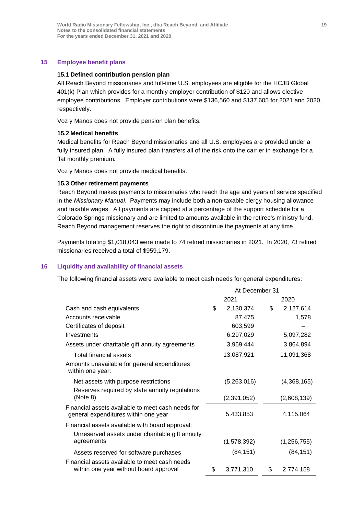#### **15 Employee benefit plans**

#### <span id="page-22-1"></span><span id="page-22-0"></span>**15.1 Defined contribution pension plan**

All Reach Beyond missionaries and full-time U.S. employees are eligible for the HCJB Global 401(k) Plan which provides for a monthly employer contribution of \$120 and allows elective employee contributions. Employer contributions were \$136,560 and \$137,605 for 2021 and 2020, respectively.

Voz y Manos does not provide pension plan benefits.

#### <span id="page-22-2"></span>**15.2 Medical benefits**

Medical benefits for Reach Beyond missionaries and all U.S. employees are provided under a fully insured plan. A fully insured plan transfers all of the risk onto the carrier in exchange for a flat monthly premium.

Voz y Manos does not provide medical benefits.

#### <span id="page-22-3"></span>**15.3 Other retirement payments**

Reach Beyond makes payments to missionaries who reach the age and years of service specified in the *Missionary Manual*. Payments may include both a non-taxable clergy housing allowance and taxable wages. All payments are capped at a percentage of the support schedule for a Colorado Springs missionary and are limited to amounts available in the retiree's ministry fund. Reach Beyond management reserves the right to discontinue the payments at any time.

Payments totaling \$1,018,043 were made to 74 retired missionaries in 2021. In 2020, 73 retired missionaries received a total of \$959,179.

#### **16 Liquidity and availability of financial assets**

<span id="page-22-4"></span>The following financial assets were available to meet cash needs for general expenditures:

|                                                                                           | At December 31 |             |    |             |  |  |  |  |  |
|-------------------------------------------------------------------------------------------|----------------|-------------|----|-------------|--|--|--|--|--|
|                                                                                           |                | 2021        |    | 2020        |  |  |  |  |  |
| Cash and cash equivalents                                                                 | \$             | 2,130,374   | \$ | 2,127,614   |  |  |  |  |  |
| Accounts receivable                                                                       |                | 87,475      |    | 1,578       |  |  |  |  |  |
| Certificates of deposit                                                                   |                | 603,599     |    |             |  |  |  |  |  |
| Investments                                                                               |                | 6,297,029   |    | 5,097,282   |  |  |  |  |  |
| Assets under charitable gift annuity agreements                                           |                | 3,969,444   |    | 3,864,894   |  |  |  |  |  |
| Total financial assets                                                                    |                | 13,087,921  |    | 11,091,368  |  |  |  |  |  |
| Amounts unavailable for general expenditures<br>within one year:                          |                |             |    |             |  |  |  |  |  |
| Net assets with purpose restrictions                                                      |                | (5,263,016) |    | (4,368,165) |  |  |  |  |  |
| Reserves required by state annuity regulations<br>(Note 8)                                |                | (2,391,052) |    | (2,608,139) |  |  |  |  |  |
| Financial assets available to meet cash needs for<br>general expenditures within one year |                | 5,433,853   |    | 4,115,064   |  |  |  |  |  |
| Financial assets available with board approval:                                           |                |             |    |             |  |  |  |  |  |
| Unreserved assets under charitable gift annuity                                           |                |             |    |             |  |  |  |  |  |
| agreements                                                                                |                | (1,578,392) |    | (1,256,755) |  |  |  |  |  |
| Assets reserved for software purchases                                                    |                | (84, 151)   |    | (84, 151)   |  |  |  |  |  |
| Financial assets available to meet cash needs<br>within one year without board approval   | \$             | 3,771,310   | \$ | 2,774,158   |  |  |  |  |  |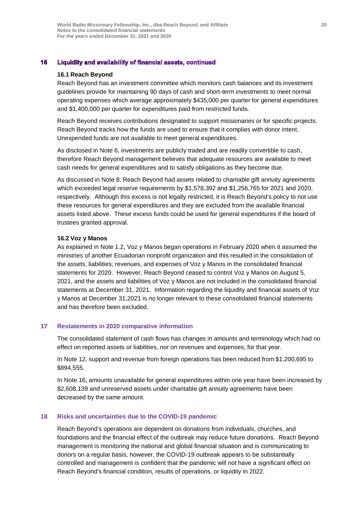#### 16 Liquidity and availability of financial assets, continued

#### <span id="page-23-0"></span>**16.1 Reach Beyond**

Reach Beyond has an investment committee which monitors cash balances and its investment guidelines provide for maintaining 90 days of cash and short-term investments to meet normal operating expenses which average approximately \$435,000 per quarter for general expenditures and \$1,400,000 per quarter for expenditures paid from restricted funds.

Reach Beyond receives contributions designated to support missionaries or for specific projects. Reach Beyond tracks how the funds are used to ensure that it complies with donor intent. Unexpended funds are not available to meet general expenditures.

As disclosed in Note 6, investments are publicly traded and are readily convertible to cash, therefore Reach Beyond management believes that adequate resources are available to meet cash needs for general expenditures and to satisfy obligations as they become due.

As discussed in Note 8, Reach Beyond had assets related to charitable gift annuity agreements which exceeded legal reserve requirements by \$1,578,392 and \$1,256,765 for 2021 and 2020, respectively. Although this excess is not legally restricted, it is Reach Beyond's policy to not use these resources for general expenditures and they are excluded from the available financial assets listed above. These excess funds could be used for general expenditures if the board of trustees granted approval.

#### <span id="page-23-1"></span>**16.2 Voz y Manos**

As explained in Note 1.2, Voz y Manos began operations in February 2020 when it assumed the ministries of another Ecuadorian nonprofit organization and this resulted in the consolidation of the assets, liabilities, revenues, and expenses of Voz y Manos in the consolidated financial statements for 2020. However, Reach Beyond ceased to control Voz y Manos on August 5, 2021, and the assets and liabilities of Voz y Manos are not included in the consolidated financial statements at December 31, 2021. Information regarding the liquidity and financial assets of Voz y Manos at December 31,2021 is no longer relevant to these consolidated financial statements and has therefore been excluded.

#### **17 Restatements in 2020 comparative information**

<span id="page-23-2"></span>The consolidated statement of cash flows has changes in amounts and terminology which had no effect on reported assets or liabilities, nor on revenues and expenses, for that year.

In Note 12, support and revenue from foreign operations has been reduced from \$1,200,695 to \$894,555.

In Note 16, amounts unavailable for general expenditures within one year have been increased by \$2,608,139 and unreserved assets under charitable gift annuity agreements have been decreased by the same amount.

#### **18 Risks and uncertainties due to the COVID-19 pandemic**

<span id="page-23-3"></span>Reach Beyond's operations are dependent on donations from individuals, churches, and foundations and the financial effect of the outbreak may reduce future donations. Reach Beyond management is monitoring the national and global financial situation and is communicating to donors on a regular basis, however, the COVID-19 outbreak appears to be substantially controlled and management is confident that the pandemic will not have a significant effect on Reach Beyond's financial condition, results of operations, or liquidity in 2022.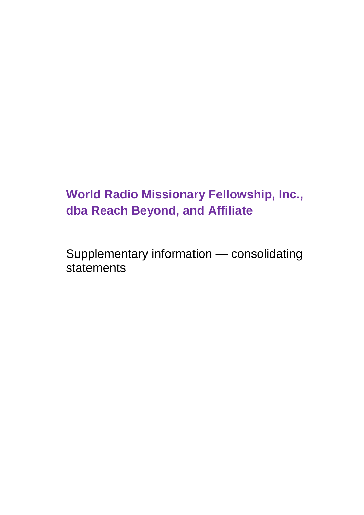# **World Radio Missionary Fellowship, Inc., dba Reach Beyond, and Affiliate**

<span id="page-24-0"></span>Supplementary information — consolidating statements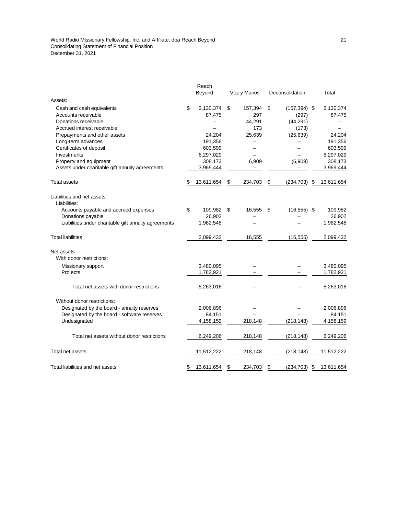World Radio Missionary Fellowship, Inc. and Affiliate, dba Reach Beyond 21 Consolidating Statement of Financial Position December 31, 2021

|                                                      | Reach            |                          |                       |                  |
|------------------------------------------------------|------------------|--------------------------|-----------------------|------------------|
|                                                      | Beyond           | Voz y Manos              | Deconsolidation       | Total            |
| Assets:                                              |                  |                          |                       |                  |
| Cash and cash equivalents                            | \$<br>2,130,374  | \$<br>157,394            | \$<br>$(157, 394)$ \$ | 2,130,374        |
| Accounts receivable                                  | 87,475           | 297                      | (297)                 | 87,475           |
| Donations receivable                                 |                  | 44,291                   | (44, 291)             |                  |
| Accrued interest receivable                          |                  | 173                      | (173)                 |                  |
| Prepayments and other assets                         | 24,204           | 25,639                   | (25, 639)             | 24,204           |
| Long-term advances                                   | 191,356          |                          |                       | 191,356          |
| Certificates of deposit                              | 603,599          |                          |                       | 603,599          |
| Investments                                          | 6,297,029        |                          |                       | 6,297,029        |
| Property and equipment                               | 308,173          | 6,909                    | (6,909)               | 308,173          |
| Assets under charitable gift annuity agreements      | 3,969,444        | $\overline{\phantom{0}}$ |                       | 3,969,444        |
| Total assets                                         | 13,611,654       | \$<br>234,703            | \$<br>(234, 703)      | \$<br>13,611,654 |
| Liabilities and net assets:                          |                  |                          |                       |                  |
| Liabilities:                                         |                  |                          |                       |                  |
| Accounts payable and accrued expenses                | \$<br>109,982    | \$<br>16,555             | \$<br>$(16, 555)$ \$  | 109,982          |
| Donations payable                                    | 26,902           |                          |                       | 26,902           |
| Liabilities under charitable gift annuity agreements | 1,962,548        |                          |                       | 1,962,548        |
| <b>Total liabilities</b>                             | 2,099,432        | 16,555                   | (16, 555)             | 2,099,432        |
| Net assets:                                          |                  |                          |                       |                  |
| With donor restrictions:                             |                  |                          |                       |                  |
| Missionary support                                   | 3,480,095        |                          |                       | 3,480,095        |
| Projects                                             | 1,782,921        |                          |                       | 1,782,921        |
| Total net assets with donor restrictions             | 5,263,016        |                          |                       | 5,263,016        |
| Without donor restrictions:                          |                  |                          |                       |                  |
| Designated by the board - annuity reserves           | 2,006,896        |                          |                       | 2,006,896        |
| Designated by the board - software reserves          | 84,151           |                          |                       | 84,151           |
| Undesignated                                         | 4,158,159        | 218,148                  | (218, 148)            | 4,158,159        |
| Total net assets without donor restrictions          | 6,249,206        | 218,148                  | (218, 148)            | 6,249,206        |
| Total net assets                                     | 11,512,222       | 218,148                  | (218, 148)            | 11,512,222       |
| Total liabilities and net assets                     | \$<br>13,611,654 | \$<br>234,703            | \$<br>(234, 703)      | \$<br>13,611,654 |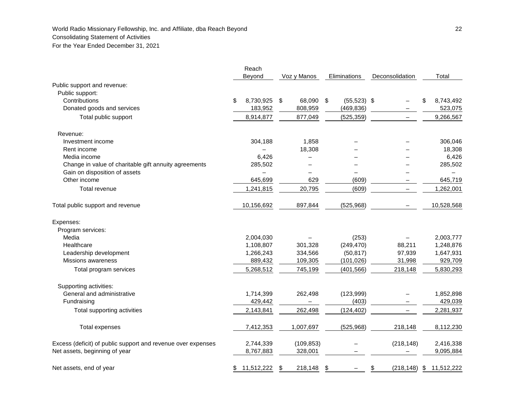## World Radio Missionary Fellowship, Inc. and Affiliate, dba Reach Beyond 22 Consolidating Statement of Activities For the Year Ended December 31, 2021

|                                                              | Reach            |           |               |             |               |                 |                   |                  |
|--------------------------------------------------------------|------------------|-----------|---------------|-------------|---------------|-----------------|-------------------|------------------|
|                                                              | Beyond           |           |               | Voz y Manos | Eliminations  | Deconsolidation |                   | Total            |
| Public support and revenue:                                  |                  |           |               |             |               |                 |                   |                  |
| Public support:                                              |                  |           |               |             |               |                 |                   |                  |
| Contributions                                                | \$               | 8,730,925 | $\mathfrak s$ | 68,090 \$   | $(55,523)$ \$ |                 |                   | \$<br>8,743,492  |
| Donated goods and services                                   |                  | 183,952   |               | 808,959     | (469, 836)    |                 |                   | 523,075          |
| Total public support                                         |                  | 8,914,877 |               | 877,049     | (525, 359)    |                 | $\qquad \qquad -$ | 9,266,567        |
| Revenue:                                                     |                  |           |               |             |               |                 |                   |                  |
| Investment income                                            |                  | 304,188   |               | 1,858       |               |                 |                   | 306,046          |
| Rent income                                                  |                  |           |               | 18,308      |               |                 |                   | 18,308           |
| Media income                                                 |                  | 6,426     |               |             |               |                 |                   | 6,426            |
| Change in value of charitable gift annuity agreements        |                  | 285,502   |               |             |               |                 |                   | 285,502          |
| Gain on disposition of assets                                |                  |           |               |             |               |                 |                   |                  |
| Other income                                                 |                  | 645,699   |               | 629         | (609)         |                 |                   | 645,719          |
| Total revenue                                                |                  | 1,241,815 |               | 20,795      | (609)         |                 |                   | 1,262,001        |
| Total public support and revenue                             | 10,156,692       |           |               | 897,844     | (525, 968)    |                 |                   | 10,528,568       |
| Expenses:                                                    |                  |           |               |             |               |                 |                   |                  |
| Program services:                                            |                  |           |               |             |               |                 |                   |                  |
| Media                                                        |                  | 2,004,030 |               |             | (253)         |                 |                   | 2,003,777        |
| Healthcare                                                   |                  | 1,108,807 |               | 301,328     | (249, 470)    |                 | 88,211            | 1,248,876        |
| Leadership development                                       |                  | 1,266,243 |               | 334,566     | (50, 817)     |                 | 97,939            | 1,647,931        |
| Missions awareness                                           |                  | 889,432   |               | 109,305     | (101, 026)    |                 | 31,998            | 929,709          |
| Total program services                                       |                  | 5,268,512 |               | 745,199     | (401, 566)    |                 | 218,148           | 5,830,293        |
| Supporting activities:                                       |                  |           |               |             |               |                 |                   |                  |
| General and administrative                                   |                  | 1,714,399 |               | 262,498     | (123, 999)    |                 |                   | 1,852,898        |
| Fundraising                                                  |                  | 429,442   |               |             | (403)         |                 |                   | 429,039          |
| Total supporting activities                                  |                  | 2,143,841 |               | 262,498     | (124, 402)    |                 |                   | 2,281,937        |
| Total expenses                                               |                  | 7,412,353 |               | 1,007,697   | (525, 968)    |                 | 218,148           | 8,112,230        |
| Excess (deficit) of public support and revenue over expenses |                  | 2,744,339 |               | (109, 853)  |               |                 | (218, 148)        | 2,416,338        |
| Net assets, beginning of year                                |                  | 8,767,883 |               | 328,001     |               |                 |                   | 9,095,884        |
| Net assets, end of year                                      | 11,512,222<br>\$ |           | \$            | 218,148     | \$            | \$              | (218, 148)        | \$<br>11,512,222 |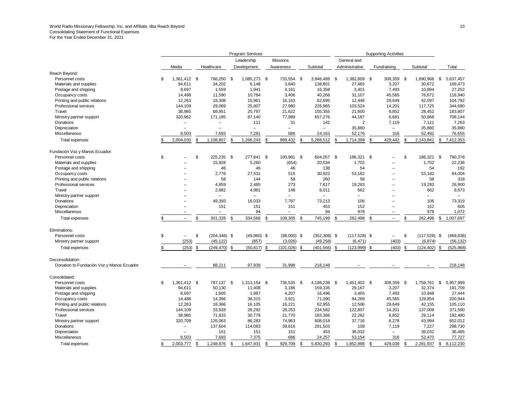#### Consolidating Statement of Functional Expenses For the Year Ended December 31, 2021 World Radio Missionary Fellowship, Inc. and Affiliate, dba Reach Beyond

|                                           | <b>Program Services</b>        |          |                          |      |                          |                |                          | <b>Supporting Activities</b> |                          |      |                |    |                          |     |                          |                |            |
|-------------------------------------------|--------------------------------|----------|--------------------------|------|--------------------------|----------------|--------------------------|------------------------------|--------------------------|------|----------------|----|--------------------------|-----|--------------------------|----------------|------------|
|                                           |                                |          |                          |      | Leadership               |                | <b>Missions</b>          |                              |                          |      | General and    |    |                          |     |                          |                |            |
|                                           | Media                          |          | Healthcare               |      | Development              |                | Awareness                |                              | Subtotal                 |      | Administrative |    | Fundraising              |     | Subtotal                 |                | Total      |
| Reach Beyond:                             |                                |          |                          |      |                          |                |                          |                              |                          |      |                |    |                          |     |                          |                |            |
| Personnel costs                           | \$<br>1.361.412 \$             |          | 766,250                  | - \$ | 1,085,273                | - \$           | 733.554                  | \$                           | 3,946,489                | - \$ | 1,382,609 \$   |    | 308,359                  | -\$ | 1,690,968                | \$             | 5,637,457  |
| Materials and supplies                    | 94,611                         |          | 34,202                   |      | 6,148                    |                | 3,840                    |                              | 138,801                  |      | 27,465         |    | 3,207                    |     | 30,672                   |                | 169,473    |
| Postage and shipping                      | 8,697                          |          | 1,559                    |      | 1,941                    |                | 4,161                    |                              | 16,358                   |      | 3,401          |    | 7,493                    |     | 10,894                   |                | 27,252     |
| Occupancy costs                           | 14,488                         |          | 11,590                   |      | 10.784                   |                | 3,406                    |                              | 40,268                   |      | 31,107         |    | 45,565                   |     | 76,672                   |                | 116,940    |
| Printing and public relations             | 12,263                         |          | 18,308                   |      | 15,961                   |                | 16,163                   |                              | 62,695                   |      | 12,448         |    | 29,649                   |     | 42,097                   |                | 104,792    |
| Professional services                     | 144,109                        |          | 29,069                   |      | 25,807                   |                | 27,980                   |                              | 226,965                  |      | 103,524        |    | 14,201                   |     | 117,725                  |                | 344,690    |
| Travel                                    | 38,985                         |          | 68,951                   |      | 25,797                   |                | 21,622                   |                              | 155,355                  |      | 21,600         |    | 6,852                    |     | 28,452                   |                | 183,807    |
| Ministry partner support                  | 320,962                        |          | 171,185                  |      | 87,140                   |                | 77,989                   |                              | 657,276                  |      | 44,187         |    | 6,681                    |     | 50,868                   |                | 708,144    |
| Donations                                 | $\overline{\phantom{a}}$       |          | $\qquad \qquad -$        |      | 111                      |                | 31                       |                              | 142                      |      | $\overline{2}$ |    | 7,119                    |     | 7,121                    |                | 7,263      |
| Depreciation                              | $\overline{\phantom{a}}$       |          | $\overline{\phantom{a}}$ |      | $\overline{\phantom{a}}$ |                | $\overline{\phantom{a}}$ |                              | $\equiv$                 |      | 35,880         |    | $\overline{\phantom{0}}$ |     | 35,880                   |                | 35,880     |
| Miscellaneous                             | 8,503                          |          | 7,693                    |      | 7,281                    |                | 686                      |                              | 24,163                   |      | 52,176         |    | 316                      |     | 52,492                   |                | 76,655     |
| Total expenses                            | 2,004,030                      | ድ        | 1,108,807                | \$.  | 1,266,243                | \$             | 889,432                  |                              | 5,268,512                | \$   | 1,714,399      | \$ | 429,442                  |     | 2,143,841                | \$             | 7,412,353  |
|                                           |                                |          |                          |      |                          |                |                          |                              |                          |      |                |    |                          |     |                          |                |            |
| Fundación Voz y Manos Ecuador:            |                                |          |                          |      |                          |                |                          |                              |                          |      |                |    |                          |     |                          |                |            |
| Personnel costs                           | \$                             | \$       | 225,235 \$               |      | 277,841 \$               |                | 100,981 \$               |                              | 604,057 \$               |      | 186,321 \$     |    |                          | \$  | 186,321                  | $\mathfrak{s}$ | 790,378    |
| Materials and supplies                    |                                |          | 15,928                   |      | 5,260                    |                | (654)                    |                              | 20,534                   |      | 1,702          |    |                          |     | 1,702                    |                | 22,236     |
| Postage and shipping                      |                                |          | 46                       |      | 46                       |                | 46                       |                              | 138                      |      | 54             |    |                          |     | 54                       |                | 192        |
| Occupancy costs                           |                                |          | 2,776                    |      | 27,531                   |                | 515                      |                              | 30,822                   |      | 53,182         |    | $\overline{\phantom{0}}$ |     | 53,182                   |                | 84,004     |
| Printing and public relations             |                                |          | 58                       |      | 144                      |                | 58                       |                              | 260                      |      | 58             |    |                          |     | 58                       |                | 318        |
| Professional services                     |                                |          | 4,859                    |      | 2,485                    |                | 273                      |                              | 7,617                    |      | 19,283         |    | $\overline{\phantom{0}}$ |     | 19,283                   |                | 26,900     |
| Travel                                    |                                |          | 2,882                    |      | 4,981                    |                | 148                      |                              | 8,011                    |      | 662            |    |                          |     | 662                      |                | 8,673      |
| Ministry partner support                  |                                |          |                          |      |                          |                | $\overline{\phantom{a}}$ |                              | $\overline{\phantom{0}}$ |      | ۳              |    | $\overline{\phantom{0}}$ |     | ÷,                       |                |            |
| Donations                                 |                                |          | 49,393                   |      | 16,033                   |                | 7,787                    |                              | 73,213                   |      | 106            |    | $\overline{\phantom{a}}$ |     | 106                      |                | 73,319     |
| Depreciation                              |                                |          | 151                      |      | 151                      |                | 151                      |                              | 453                      |      | 152            |    | $\overline{\phantom{a}}$ |     | 152                      |                | 605        |
| Miscellaneous                             | ۰                              |          | $\overline{\phantom{0}}$ |      | 94                       |                | $\qquad \qquad -$        |                              | 94                       |      | 978            |    | $\overline{\phantom{a}}$ |     | 978                      |                | 1,072      |
| Total expenses                            | $\equiv$                       | \$       | 301,328                  | \$   | 334,566                  | \$             | 109,305                  | \$                           | 745,199                  | \$   | 262,498        | \$ | $\overline{\phantom{a}}$ | \$  | 262,498                  | \$             | 1,007,697  |
|                                           |                                |          |                          |      |                          |                |                          |                              |                          |      |                |    |                          |     |                          |                |            |
| Eliminations:                             |                                |          |                          |      |                          |                |                          |                              |                          |      |                |    |                          |     |                          |                |            |
| Personnel costs                           | \$<br>$\overline{\phantom{a}}$ | \$       | $(204, 348)$ \$          |      | $(49,960)$ \$            |                | $(98,000)$ \$            |                              | $(352,308)$ \$           |      | $(117,528)$ \$ |    | $\overline{\phantom{0}}$ | \$  | $(117,528)$ \$           |                | (469, 836) |
| Ministry partner support                  | (253)                          |          | (45, 122)                |      | (857)                    |                | (3,026)                  |                              | (49, 258)                |      | (6, 471)       |    | (403)                    |     | (6, 874)                 |                | (56, 132)  |
| Total expenses                            | \$<br>(253)                    | \$       | (249,470)                | \$   | (50, 817)                | \$             | (101, 026)               | \$                           | (401, 566)               | \$   | (123, 999)     | \$ | (403)                    | \$  | (124, 402)               | \$.            | (525, 968) |
| Deconsolidation:                          |                                |          |                          |      |                          |                |                          |                              |                          |      |                |    |                          |     |                          |                |            |
| Donation to Fundación Voz y Manos Ecuador |                                |          | 88,211                   |      | 97,939                   |                | 31,998                   |                              | 218,148                  |      |                |    |                          |     | $\overline{\phantom{0}}$ |                | 218,148    |
|                                           |                                |          |                          |      |                          |                |                          |                              |                          |      |                |    |                          |     |                          |                |            |
| Consolidated:                             |                                |          |                          |      |                          |                |                          |                              |                          |      |                |    |                          |     |                          |                |            |
| Personnel costs                           | \$<br>1,361,412 \$             |          | 787,137 \$               |      | 1,313,154                | \$             | 736,535                  | \$                           | 4,198,238                | - \$ | 1,451,402 \$   |    | 308,359                  | \$  | 1,759,761                | \$             | 5,957,999  |
| Materials and supplies                    | 94,611                         |          | 50,130                   |      | 11,408                   |                | 3,186                    |                              | 159,335                  |      | 29,167         |    | 3,207                    |     | 32,374                   |                | 191,709    |
| Postage and shipping                      | 8.697                          |          | 1,605                    |      | 1,987                    |                | 4,207                    |                              | 16,496                   |      | 3,455          |    | 7,493                    |     | 10,948                   |                | 27,444     |
| Occupancy costs                           | 14,488                         |          | 14,366                   |      | 38,315                   |                | 3,921                    |                              | 71,090                   |      | 84,289         |    | 45,565                   |     | 129,854                  |                | 200,944    |
| Printing and public relations             | 12,263                         |          | 18,366                   |      | 16,105                   |                | 16,221                   |                              | 62,955                   |      | 12,506         |    | 29,649                   |     | 42,155                   |                | 105,110    |
| Professional services                     | 144,109                        |          | 33,928                   |      | 28,292                   |                | 28,253                   |                              | 234,582                  |      | 122,807        |    | 14,201                   |     | 137,008                  |                | 371,590    |
| Travel                                    | 38,985                         |          | 71,833                   |      | 30,778                   |                | 21,770                   |                              | 163,366                  |      | 22,262         |    | 6,852                    |     | 29,114                   |                | 192,480    |
| Ministry partner support                  | 320,709                        |          | 126,063                  |      | 86,283                   |                | 74,963                   |                              | 608,018                  |      | 37,716         |    | 6,278                    |     | 43,994                   |                | 652,012    |
| Donations                                 |                                |          | 137,604                  |      | 114,083                  |                | 39,816                   |                              | 291,503                  |      | 108            |    | 7,119                    |     | 7,227                    |                | 298,730    |
| Depreciation                              | $\overline{\phantom{0}}$       |          | 151                      |      | 151                      |                | 151                      |                              | 453                      |      | 36,032         |    |                          |     | 36,032                   |                | 36,485     |
| <b>Miscellaneous</b>                      | 8,503                          |          | 7,693                    |      | 7,375                    |                | 686                      |                              | 24,257                   |      | 53,154         |    | 316                      |     | 53,470                   |                | 77,727     |
| Total expenses                            | \$<br>2,003,777                | <b>S</b> | 1,248,876                | -S   | 1,647,931                | $\mathfrak{L}$ | 929,709                  | $\mathfrak{L}$               | 5,830,293                | \$   | 1,852,898      | \$ | 429,039                  | \$  | 2,281,937                | \$             | 8,112,230  |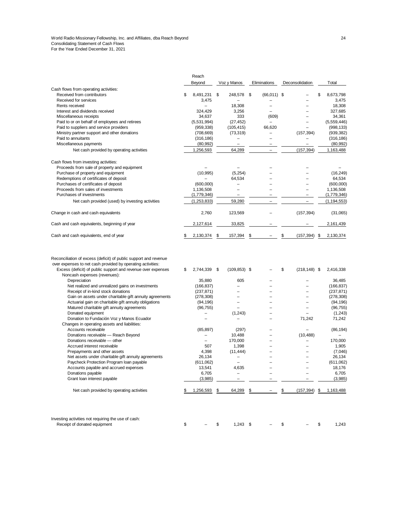#### World Radio Missionary Fellowship, Inc. and Affiliates, dba Reach Beyond 24 Consolidating Statement of Cash Flows For the Year Ended December 31, 2021

|                                                                                                                                                             | Reach                    |     |                          |                          |                          |                 |
|-------------------------------------------------------------------------------------------------------------------------------------------------------------|--------------------------|-----|--------------------------|--------------------------|--------------------------|-----------------|
|                                                                                                                                                             | Beyond                   |     | Voz y Manos              | Eliminations             | Deconsolidation          | Total           |
| Cash flows from operating activities:                                                                                                                       |                          |     |                          |                          |                          |                 |
| Received from contributors                                                                                                                                  | \$<br>8,491,231          | \$  | 248,578                  | \$<br>$(66,011)$ \$      |                          | \$<br>8,673,798 |
| Received for services                                                                                                                                       | 3,475                    |     |                          |                          |                          | 3,475           |
| Rents received                                                                                                                                              |                          |     | 18,308                   |                          |                          | 18,308          |
| Interest and dividends received                                                                                                                             | 324,429                  |     | 3,256                    |                          | $\overline{\phantom{0}}$ | 327,685         |
| Miscellaneous receipts                                                                                                                                      | 34,637                   |     | 333                      | (609)                    |                          | 34,361          |
| Paid to or on behalf of employees and retirees                                                                                                              | (5,531,994)              |     | (27, 452)                |                          | $\overline{\phantom{0}}$ | (5,559,446)     |
| Paid to suppliers and service providers                                                                                                                     | (959, 338)               |     | (105, 415)               | 66,620                   |                          | (998, 133)      |
| Ministry partner support and other donations                                                                                                                | (708, 669)               |     | (73, 319)                |                          | (157, 394)               | (939, 382)      |
| Paid to annuitants                                                                                                                                          | (316, 186)               |     |                          | ۳                        |                          | (316, 186)      |
| Miscellaneous payments                                                                                                                                      | (80, 992)                |     | $\qquad \qquad -$        | -                        | $\overline{\phantom{0}}$ | (80, 992)       |
|                                                                                                                                                             |                          |     |                          | $\qquad \qquad -$        |                          |                 |
| Net cash provided by operating activities                                                                                                                   | 1,256,593                |     | 64,289                   |                          | (157, 394)               | 1,163,488       |
| Cash flows from investing activities:                                                                                                                       |                          |     |                          |                          |                          |                 |
| Proceeds from sale of property and equipment                                                                                                                |                          |     |                          |                          |                          |                 |
| Purchase of property and equipment                                                                                                                          | (10, 995)                |     | (5,254)                  |                          |                          | (16, 249)       |
| Redemptions of certificates of deposit                                                                                                                      |                          |     | 64,534                   |                          |                          | 64,534          |
| Purchases of certificates of deposit                                                                                                                        | (600,000)                |     |                          |                          |                          | (600,000)       |
| Proceeds from sales of investments                                                                                                                          | 1,136,508                |     | $\overline{\phantom{0}}$ | $\overline{\phantom{0}}$ | $\overline{a}$           | 1,136,508       |
| Purchases of investments                                                                                                                                    | (1,779,346)              |     | L.                       |                          |                          | (1,779,346)     |
| Net cash provided (used) by investing activities                                                                                                            | (1, 253, 833)            |     | 59,280                   | $\overline{\phantom{0}}$ | $\qquad \qquad -$        | (1, 194, 553)   |
| Change in cash and cash equivalents                                                                                                                         | 2,760                    |     | 123,569                  |                          | (157, 394)               | (31,065)        |
| Cash and cash equivalents, beginning of year                                                                                                                | 2,127,614                |     | 33,825                   |                          |                          | 2,161,439       |
| Cash and cash equivalents, end of year                                                                                                                      | \$<br>2,130,374          | \$  | 157,394                  | \$                       | \$<br>(157, 394)         | \$<br>2,130,374 |
| over expenses to net cash provided by operating activities:<br>Excess (deficit) of public support and revenue over expenses<br>Noncash expenses (revenues): | \$<br>2,744,339          | -\$ | $(109, 853)$ \$          |                          | \$<br>$(218, 148)$ \$    | 2,416,338       |
| Depreciation                                                                                                                                                | 35,880                   |     | 605                      |                          |                          | 36,485          |
| Net realized and unrealized gains on investments                                                                                                            | (166, 837)               |     | $\overline{\phantom{0}}$ |                          | $\equiv$                 | (166, 837)      |
| Receipt of in-kind stock donations                                                                                                                          | (237, 871)               |     |                          |                          |                          | (237, 871)      |
| Gain on assets under charitable gift annuity agreements                                                                                                     | (278, 308)               |     |                          |                          |                          | (278, 308)      |
| Actuarial gain on charitable gift annuity obligations                                                                                                       | (94, 196)                |     | $\overline{\phantom{0}}$ | -                        | $\overline{\phantom{0}}$ | (94, 196)       |
| Matured charitable gift annuity agreements                                                                                                                  | (96, 755)                |     |                          |                          |                          | (96, 755)       |
| Donated equipment                                                                                                                                           | -                        |     | (1,243)                  | ۳                        |                          | (1,243)         |
| Donation to Fundación Voz y Manos Ecuador                                                                                                                   | ۳                        |     |                          | -                        | 71,242                   | 71,242          |
| Changes in operating assets and liabilities:                                                                                                                |                          |     |                          |                          |                          |                 |
| Accounts receivable                                                                                                                                         | (85, 897)                |     | (297)                    |                          |                          | (86, 194)       |
| Donations receivable - Reach Beyond                                                                                                                         |                          |     | 10,488                   |                          | (10, 488)                |                 |
| Donations receivable - other                                                                                                                                | $\overline{\phantom{0}}$ |     | 170.000                  | ۳                        |                          | 170,000         |
| Accrued interest receivable                                                                                                                                 | 507                      |     | 1,398                    |                          |                          | 1,905           |
| Prepayments and other assets                                                                                                                                | 4,398                    |     | (11, 444)                |                          |                          | (7,046)         |
| Net assets under charitable gift annuity agreements                                                                                                         | 26,134                   |     |                          |                          |                          | 26,134          |
| Paycheck Protection Program Ioan payable                                                                                                                    | (611,062)                |     |                          |                          |                          | (611,062)       |
| Accounts payable and accrued expenses                                                                                                                       | 13,541                   |     | 4,635                    |                          |                          | 18,176          |
| Donations payable                                                                                                                                           | 6,705                    |     |                          |                          |                          | 6,705           |
| Grant loan interest payable                                                                                                                                 | (3,985)                  |     |                          |                          |                          | (3,985)         |
| Net cash provided by operating activities                                                                                                                   | \$<br>1,256,593          | \$  | 64,289                   | \$                       | \$<br>(157, 394)         | \$<br>1,163,488 |
| Investing activities not requiring the use of cash:<br>Receipt of donated equipment                                                                         | \$                       | \$  | $1,243$ \$               |                          | \$                       | \$<br>1,243     |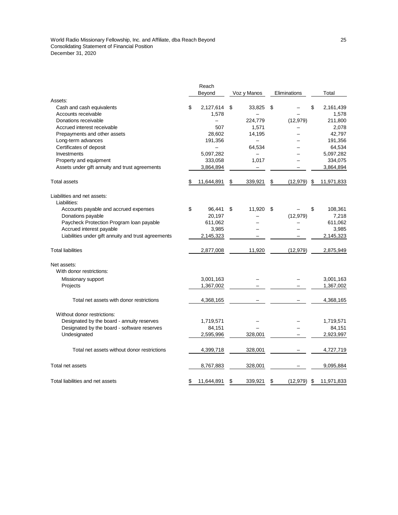World Radio Missionary Fellowship, Inc. and Affiliate, dba Reach Beyond 25 Consolidating Statement of Financial Position December 31, 2020

|                                                     | Reach            |                          |                 |                  |
|-----------------------------------------------------|------------------|--------------------------|-----------------|------------------|
|                                                     | Beyond           | Voz y Manos              | Eliminations    | Total            |
| Assets:                                             |                  |                          |                 |                  |
| Cash and cash equivalents                           | \$<br>2,127,614  | \$<br>33,825             | \$              | \$<br>2,161,439  |
| Accounts receivable                                 | 1,578            |                          |                 | 1,578            |
| Donations receivable                                |                  | 224,779                  | (12, 979)       | 211,800          |
| Accrued interest receivable                         | 507              | 1,571                    |                 | 2,078            |
| Prepayments and other assets                        | 28,602           | 14,195                   |                 | 42,797           |
| Long-term advances                                  | 191,356          | $\overline{\phantom{0}}$ |                 | 191,356          |
| Certificates of deposit                             |                  | 64,534                   |                 | 64,534           |
| Investments                                         | 5,097,282        |                          |                 | 5,097,282        |
| Property and equipment                              | 333,058          | 1,017                    |                 | 334,075          |
| Assets under gift annuity and trust agreements      | 3,864,894        |                          |                 | 3,864,894        |
| <b>Total assets</b>                                 | \$<br>11,644,891 | \$<br>339,921            | \$<br>(12, 979) | \$<br>11,971,833 |
| Liabilities and net assets:                         |                  |                          |                 |                  |
| Liabilities:                                        |                  |                          |                 |                  |
| Accounts payable and accrued expenses               | \$<br>96,441     | \$<br>11,920             | \$              | \$<br>108,361    |
| Donations payable                                   | 20,197           |                          | (12, 979)       | 7,218            |
| Paycheck Protection Program Ioan payable            | 611,062          |                          |                 | 611,062          |
| Accrued interest payable                            | 3,985            |                          |                 | 3,985            |
| Liabilities under gift annuity and trust agreements | 2,145,323        |                          |                 | 2,145,323        |
| <b>Total liabilities</b>                            | 2,877,008        | 11,920                   | (12, 979)       | 2,875,949        |
| Net assets:                                         |                  |                          |                 |                  |
| With donor restrictions:                            |                  |                          |                 |                  |
| Missionary support                                  | 3,001,163        |                          |                 | 3,001,163        |
| Projects                                            | 1,367,002        |                          |                 | 1,367,002        |
| Total net assets with donor restrictions            | 4,368,165        |                          |                 | 4,368,165        |
| Without donor restrictions:                         |                  |                          |                 |                  |
| Designated by the board - annuity reserves          | 1,719,571        |                          |                 | 1,719,571        |
| Designated by the board - software reserves         | 84,151           |                          |                 | 84,151           |
| Undesignated                                        | 2,595,996        | 328,001                  |                 | 2,923,997        |
| Total net assets without donor restrictions         | 4,399,718        | 328,001                  |                 | 4,727,719        |
| Total net assets                                    | 8,767,883        | 328,001                  |                 | 9,095,884        |
| Total liabilities and net assets                    | \$<br>11,644,891 | \$<br>339,921            | \$<br>(12, 979) | \$<br>11,971,833 |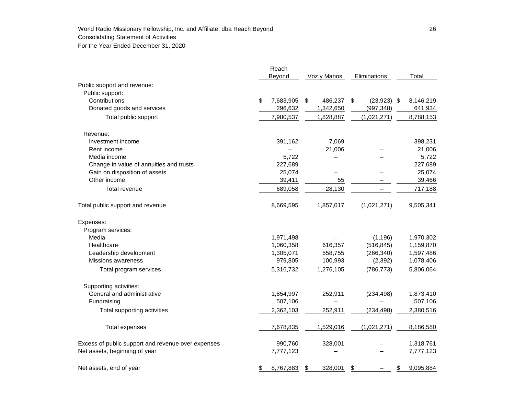## World Radio Missionary Fellowship, Inc. and Affiliate, dba Reach Beyond 26 Consolidating Statement of Activities For the Year Ended December 31, 2020

|                                                    | Reach           |               |             |               |                 |
|----------------------------------------------------|-----------------|---------------|-------------|---------------|-----------------|
|                                                    | Beyond          |               | Voz y Manos | Eliminations  | Total           |
| Public support and revenue:                        |                 |               |             |               |                 |
| Public support:                                    |                 |               |             |               |                 |
| Contributions                                      | \$<br>7,683,905 | $\sqrt[6]{3}$ | 486,237 \$  | $(23,923)$ \$ | 8,146,219       |
| Donated goods and services                         | 296,632         |               | 1,342,650   | (997, 348)    | 641,934         |
| Total public support                               | 7,980,537       |               | 1,828,887   | (1,021,271)   | 8,788,153       |
| Revenue:                                           |                 |               |             |               |                 |
| Investment income                                  | 391,162         |               | 7,069       |               | 398,231         |
| Rent income                                        |                 |               | 21,006      |               | 21,006          |
| Media income                                       | 5,722           |               |             |               | 5,722           |
| Change in value of annuities and trusts            | 227,689         |               |             |               | 227,689         |
| Gain on disposition of assets                      | 25,074          |               |             |               | 25,074          |
| Other income                                       | 39,411          |               | 55          |               | 39,466          |
| Total revenue                                      | 689,058         |               | 28,130      |               | 717,188         |
| Total public support and revenue                   | 8,669,595       |               | 1,857,017   | (1,021,271)   | 9,505,341       |
| Expenses:                                          |                 |               |             |               |                 |
| Program services:                                  |                 |               |             |               |                 |
| Media                                              | 1,971,498       |               |             | (1, 196)      | 1,970,302       |
| Healthcare                                         | 1,060,358       |               | 616,357     | (516, 845)    | 1,159,870       |
| Leadership development                             | 1,305,071       |               | 558,755     | (266, 340)    | 1,597,486       |
| Missions awareness                                 | 979,805         |               | 100,993     | (2, 392)      | 1,078,406       |
| Total program services                             | 5,316,732       |               | 1,276,105   | (786, 773)    | 5,806,064       |
| Supporting activities:                             |                 |               |             |               |                 |
| General and administrative                         | 1,854,997       |               | 252,911     | (234, 498)    | 1,873,410       |
| Fundraising                                        | 507,106         |               |             |               | 507,106         |
| Total supporting activities                        | 2,362,103       |               | 252,911     | (234, 498)    | 2,380,516       |
| <b>Total expenses</b>                              | 7,678,835       |               | 1,529,016   | (1,021,271)   | 8,186,580       |
| Excess of public support and revenue over expenses | 990,760         |               | 328,001     |               | 1,318,761       |
| Net assets, beginning of year                      | 7,777,123       |               |             |               | 7,777,123       |
| Net assets, end of year                            | \$<br>8,767,883 | \$            | 328,001     | \$            | \$<br>9,095,884 |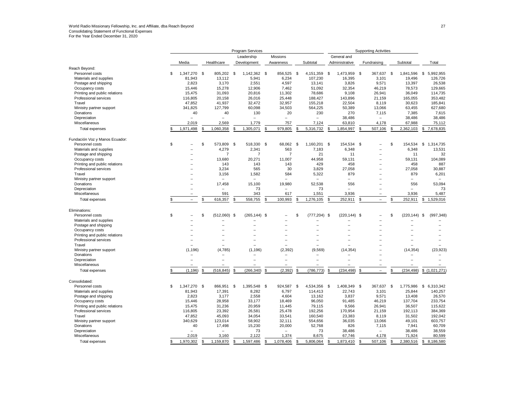|                                | <b>Program Services</b> |                |                |     |                        |      |                          |          |                          |             |                 |                              |                          |                |            |    |               |
|--------------------------------|-------------------------|----------------|----------------|-----|------------------------|------|--------------------------|----------|--------------------------|-------------|-----------------|------------------------------|--------------------------|----------------|------------|----|---------------|
|                                |                         |                |                |     | Leadership<br>Missions |      |                          |          |                          | General and |                 | <b>Supporting Activities</b> |                          |                |            |    |               |
|                                | Media                   |                | Healthcare     |     | Development            |      | Awareness                |          | Subtotal                 |             | Administrative  |                              | Fundraising              |                | Subtotal   |    | Total         |
| Reach Beyond:                  |                         |                |                |     |                        |      |                          |          |                          |             |                 |                              |                          |                |            |    |               |
| Personnel costs                | \$<br>1,347,270 \$      |                | 805,202 \$     |     | 1,142,362              | - \$ | 856,525                  | <b>S</b> | 4,151,359                | \$          | 1,473,959       | <b>S</b>                     | 367,637 \$               |                | 1,841,596  | \$ | 5,992,955     |
| Materials and supplies         | 81,943                  |                | 13,112         |     | 5,941                  |      | 6,234                    |          | 107,230                  |             | 16,395          |                              | 3,101                    |                | 19,496     |    | 126,726       |
| Postage and shipping           | 2,823                   |                | 3,170          |     | 2,551                  |      | 4,597                    |          | 13,141                   |             | 3,826           |                              | 9,571                    |                | 13,397     |    | 26,538        |
| Occupancy costs                | 15,446                  |                | 15,278         |     | 12,906                 |      | 7,462                    |          | 51,092                   |             | 32,354          |                              | 46,219                   |                | 78,573     |    | 129,665       |
| Printing and public relations  | 15,475                  |                | 31,093         |     | 20,816                 |      | 11,302                   |          | 78,686                   |             | 9,108           |                              | 26,941                   |                | 36,049     |    | 114,735       |
| Professional services          | 116,805                 |                | 20,158         |     | 26,016                 |      | 25,448                   |          | 188,427                  |             | 143,896         |                              | 21,159                   |                | 165,055    |    | 353,482       |
| Travel                         | 47,852                  |                | 41,937         |     | 32,472                 |      | 32,957                   |          | 155,218                  |             | 22,504          |                              | 8,119                    |                | 30,623     |    | 185,841       |
| Ministry partner support       | 341,825                 |                | 127,799        |     | 60,098                 |      | 34,503                   |          | 564,225                  |             | 50,389          |                              | 13,066                   |                | 63,455     |    | 627,680       |
|                                | 40                      |                | 40             |     |                        |      | 20                       |          |                          |             | 270             |                              |                          |                |            |    |               |
| Donations                      |                         |                |                |     | 130                    |      |                          |          | 230<br>$\sim$            |             |                 |                              | 7,115                    |                | 7,385      |    | 7,615         |
| Depreciation                   |                         |                |                |     |                        |      |                          |          |                          |             | 38,486          |                              |                          |                | 38,486     |    | 38,486        |
| Miscellaneous                  | 2,019                   |                | 2,569          |     | 1,779                  |      | 757                      |          | 7,124                    |             | 63,810          |                              | 4,178                    |                | 67,988     |    | 75,112        |
| Total expenses                 | 1,971,498               |                | 1,060,358      | S.  | 1,305,071              | \$   | 979,805                  | \$.      | 5,316,732                | \$          | 1,854,997       | \$                           | 507,106                  | ደ              | 2,362,103  | \$ | 7,678,835     |
| Fundación Voz y Manos Ecuador: |                         |                |                |     |                        |      |                          |          |                          |             |                 |                              |                          |                |            |    |               |
| Personnel costs                | \$                      | \$             | 573,809        | -\$ | 518,330                | - \$ | 68,062                   | \$       | 1,160,201 \$             |             | 154,534 \$      |                              | $\equiv$                 | \$             | 154,534    | \$ | 1,314,735     |
| Materials and supplies         |                         |                | 4,279          |     | 2,341                  |      | 563                      |          | 7,183                    |             | 6,348           |                              | $\equiv$                 |                | 6,348      |    | 13,531        |
| Postage and shipping           |                         |                | $\overline{7}$ |     | $\overline{7}$         |      | $\overline{7}$           |          | 21                       |             | 11              |                              | $\equiv$                 |                | 11         |    | 32            |
| Occupancy costs                |                         |                | 13,680         |     | 20,271                 |      | 11,007                   |          | 44,958                   |             | 59,131          |                              | $\equiv$                 |                | 59,131     |    | 104,089       |
| Printing and public relations  |                         |                | 143            |     | 143                    |      | 143                      |          | 429                      |             | 458             |                              |                          |                | 458        |    | 887           |
| Professional services          |                         |                | 3,234          |     | 565                    |      | 30                       |          | 3,829                    |             | 27,058          |                              | ÷                        |                | 27.058     |    | 30,887        |
| Travel                         |                         |                | 3,156          |     | 1,582                  |      | 584                      |          | 5,322                    |             | 879             |                              | $\equiv$                 |                | 879        |    | 6,201         |
| Ministry partner support       |                         |                | L.             |     | $\equiv$               |      | $\equiv$                 |          | $\equiv$                 |             | $\equiv$        |                              | $\equiv$                 |                | ÷          |    | $\equiv$      |
| Donations                      |                         |                | 17,458         |     | 15,100                 |      | 19,980                   |          | 52,538                   |             | 556             |                              |                          |                | 556        |    | 53,094        |
| Depreciation                   |                         |                |                |     | 73                     |      | $\overline{\phantom{0}}$ |          | 73                       |             |                 |                              | $\overline{\phantom{0}}$ |                |            |    | 73            |
|                                |                         |                |                |     |                        |      |                          |          |                          |             |                 |                              | $\equiv$                 |                |            |    |               |
| Miscellaneous                  | $\qquad \qquad -$       |                | 591            |     | 343                    |      | 617                      |          | 1,551                    |             | 3,936           |                              |                          |                | 3,936      |    | 5,487         |
| Total expenses                 | \$<br>$\equiv$          | \$             | 616,357        | \$  | 558,755                | \$   | 100,993                  | \$       | 1,276,105                | \$          | 252,911         | $\mathfrak{L}$               | $\qquad \qquad -$        | \$             | 252,911    | \$ | 1,529,016     |
| Eliminations:                  |                         |                |                |     |                        |      |                          |          |                          |             |                 |                              |                          |                |            |    |               |
| Personnel costs                | \$                      | $\mathfrak{s}$ | $(512,060)$ \$ |     | $(265, 144)$ \$        |      |                          | \$       | $(777, 204)$ \$          |             | $(220, 144)$ \$ |                              |                          | $\mathfrak{L}$ | (220, 144) | \$ | (997, 348)    |
| Materials and supplies         |                         |                |                |     |                        |      |                          |          |                          |             |                 |                              |                          |                |            |    |               |
| Postage and shipping           |                         |                |                |     |                        |      |                          |          |                          |             |                 |                              |                          |                |            |    |               |
| Occupancy costs                |                         |                |                |     |                        |      |                          |          |                          |             |                 |                              |                          |                |            |    |               |
| Printing and public relations  |                         |                |                |     |                        |      | $\equiv$                 |          | Ē.                       |             |                 |                              |                          |                |            |    |               |
| Professional services          |                         |                |                |     |                        |      |                          |          | $\overline{\phantom{a}}$ |             |                 |                              |                          |                |            |    |               |
| Travel                         |                         |                |                |     |                        |      |                          |          |                          |             |                 |                              |                          |                |            |    |               |
| Ministry partner support       | (1, 196)                |                | (4,785)        |     | (1, 196)               |      | (2, 392)                 |          | (9,569)                  |             | (14, 354)       |                              |                          |                | (14, 354)  |    | (23, 923)     |
| Donations                      |                         |                |                |     |                        |      |                          |          |                          |             |                 |                              |                          |                |            |    |               |
| Depreciation                   |                         |                |                |     |                        |      |                          |          | $\overline{\phantom{a}}$ |             |                 |                              |                          |                |            |    |               |
|                                |                         |                |                |     |                        |      |                          |          |                          |             |                 |                              |                          |                |            |    |               |
| Miscellaneous                  |                         |                |                |     |                        |      |                          |          |                          |             |                 |                              |                          |                |            |    |               |
| Total expenses                 | \$<br>(1, 196)          | $\mathfrak{s}$ | (516, 845)     | \$  | (266, 340)             | \$   | (2, 392)                 | \$       | (786, 773)               | \$          | (234, 498)      | \$                           | $\equiv$                 | \$             | (234, 498) |    | \$(1,021,271) |
| Consolidated:                  |                         |                |                |     |                        |      |                          |          |                          |             |                 |                              |                          |                |            |    |               |
| Personnel costs                | \$<br>1,347,270 \$      |                | 866,951        | -\$ | 1,395,548              | \$   | 924,587                  | \$       | 4,534,356                | \$          | 1,408,349 \$    |                              | 367,637                  | \$             | 1,775,986  |    | \$6,310,342   |
| Materials and supplies         | 81,943                  |                | 17,391         |     | 8,282                  |      | 6,797                    |          | 114,413                  |             | 22,743          |                              | 3,101                    |                | 25,844     |    | 140,257       |
| Postage and shipping           | 2,823                   |                | 3,177          |     | 2,558                  |      | 4,604                    |          | 13,162                   |             | 3,837           |                              | 9,571                    |                | 13,408     |    | 26,570        |
| Occupancy costs                | 15,446                  |                | 28,958         |     | 33,177                 |      | 18,469                   |          | 96,050                   |             | 91,485          |                              | 46,219                   |                | 137,704    |    | 233,754       |
| Printing and public relations  | 15,475                  |                | 31,236         |     | 20,959                 |      | 11,445                   |          | 79,115                   |             | 9,566           |                              | 26,941                   |                | 36,507     |    | 115,622       |
| Professional services          | 116,805                 |                | 23,392         |     | 26,581                 |      | 25,478                   |          | 192,256                  |             | 170,954         |                              | 21,159                   |                | 192,113    |    | 384,369       |
| Travel                         | 47,852                  |                | 45,093         |     | 34,054                 |      | 33,541                   |          | 160,540                  |             | 23,383          |                              | 8,119                    |                | 31,502     |    | 192,042       |
| Ministry partner support       | 340,629                 |                | 123,014        |     | 58,902                 |      | 32,111                   |          | 554,656                  |             | 36,035          |                              | 13,066                   |                | 49,101     |    | 603,757       |
| Donations                      | 40                      |                | 17,498         |     | 15,230                 |      | 20,000                   |          | 52,768                   |             | 826             |                              | 7,115                    |                | 7,941      |    | 60,709        |
| Depreciation                   |                         |                |                |     | 73                     |      |                          |          | 73                       |             | 38,486          |                              |                          |                | 38,486     |    | 38,559        |
| Miscellaneous                  | 2,019                   |                | 3,160          |     | 2,122                  |      | 1,374                    |          | 8,675                    |             | 67,746          |                              | 4,178                    |                | 71,924     |    | 80,599        |
|                                |                         |                |                |     |                        |      |                          |          |                          |             |                 |                              |                          |                |            |    |               |
| Total expenses                 | \$<br>1,970,302         | \$             | 1,159,870      | \$. | 1,597,486              | \$   | 1,078,406                | \$       | 5,806,064                | \$.         | 1,873,410       | \$                           | 507,106                  | \$.            | 2,380,516  | \$ | 8,186,580     |